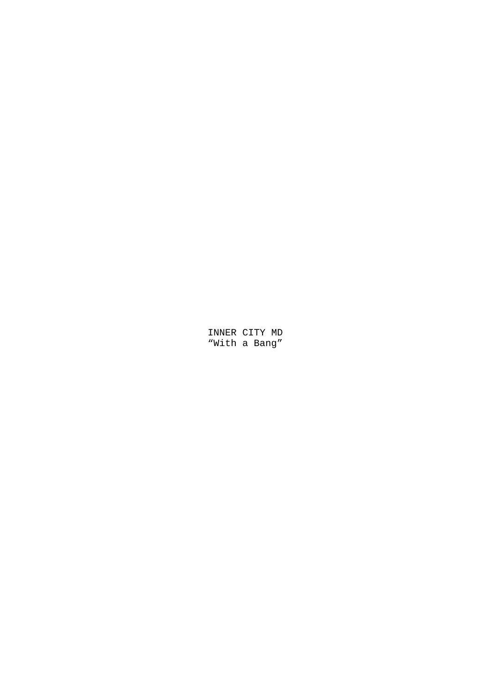INNER CITY MD "With a Bang"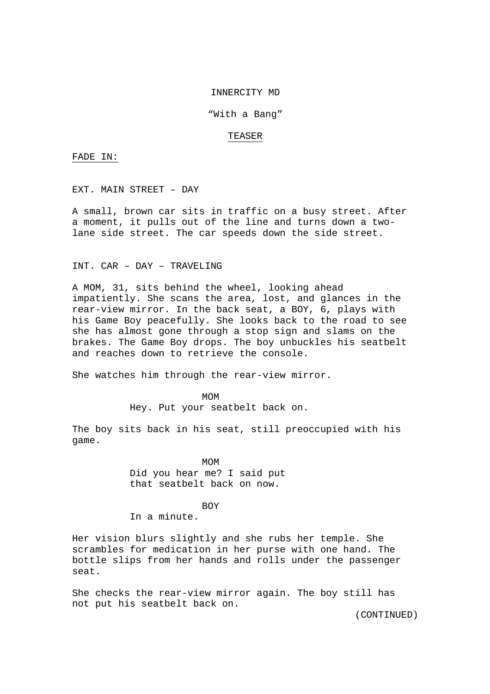#### INNERCITY MD

## "With a Bang"

#### TEASER

FADE IN:

EXT. MAIN STREET – DAY

A small, brown car sits in traffic on a busy street. After a moment, it pulls out of the line and turns down a twolane side street. The car speeds down the side street.

INT. CAR – DAY – TRAVELING

A MOM, 31, sits behind the wheel, looking ahead impatiently. She scans the area, lost, and glances in the rear-view mirror. In the back seat, a BOY, 6, plays with his Game Boy peacefully. She looks back to the road to see she has almost gone through a stop sign and slams on the brakes. The Game Boy drops. The boy unbuckles his seatbelt and reaches down to retrieve the console.

She watches him through the rear-view mirror.

MOM<sup>N</sup>

Hey. Put your seatbelt back on.

The boy sits back in his seat, still preoccupied with his game.

> MOM Did you hear me? I said put that seatbelt back on now.

**BOY** 

In a minute.

Her vision blurs slightly and she rubs her temple. She scrambles for medication in her purse with one hand. The bottle slips from her hands and rolls under the passenger seat.

She checks the rear-view mirror again. The boy still has not put his seatbelt back on.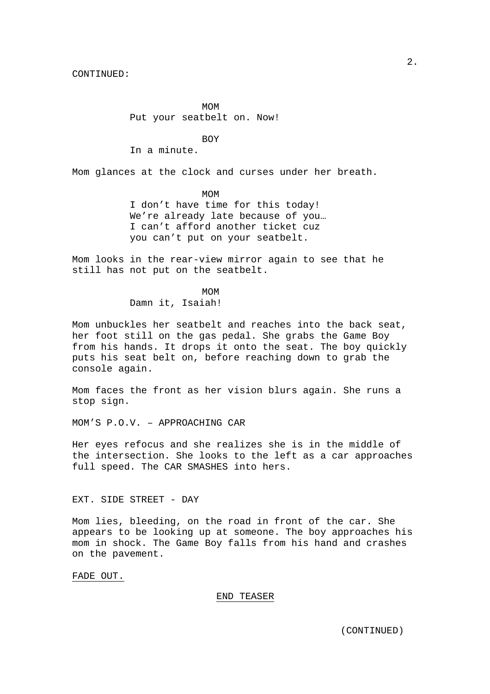MOM<sup>N</sup> Put your seatbelt on. Now!

**BOY** 

In a minute.

Mom glances at the clock and curses under her breath.

 MOM I don't have time for this today! We're already late because of you… I can't afford another ticket cuz you can't put on your seatbelt.

Mom looks in the rear-view mirror again to see that he still has not put on the seatbelt.

MOM<sup>N</sup> Damn it, Isaiah!

Mom unbuckles her seatbelt and reaches into the back seat, her foot still on the gas pedal. She grabs the Game Boy from his hands. It drops it onto the seat. The boy quickly puts his seat belt on, before reaching down to grab the console again.

Mom faces the front as her vision blurs again. She runs a stop sign.

MOM'S P.O.V. – APPROACHING CAR

Her eyes refocus and she realizes she is in the middle of the intersection. She looks to the left as a car approaches full speed. The CAR SMASHES into hers.

EXT. SIDE STREET - DAY

Mom lies, bleeding, on the road in front of the car. She appears to be looking up at someone. The boy approaches his mom in shock. The Game Boy falls from his hand and crashes on the pavement.

FADE OUT.

END TEASER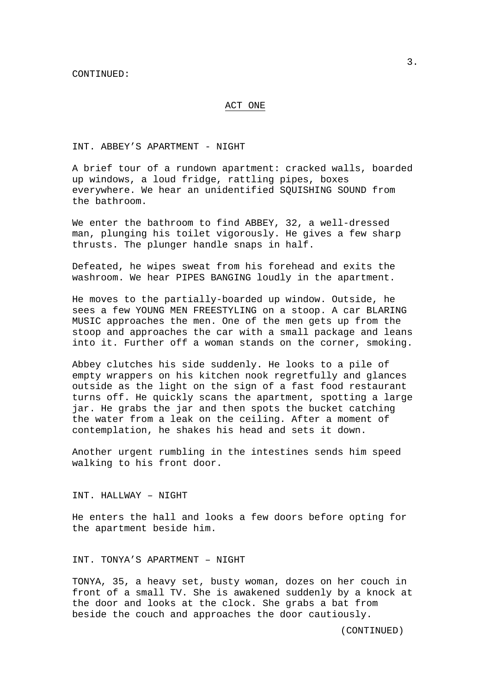## ACT ONE

INT. ABBEY'S APARTMENT - NIGHT

A brief tour of a rundown apartment: cracked walls, boarded up windows, a loud fridge, rattling pipes, boxes everywhere. We hear an unidentified SQUISHING SOUND from the bathroom.

We enter the bathroom to find ABBEY, 32, a well-dressed man, plunging his toilet vigorously. He gives a few sharp thrusts. The plunger handle snaps in half.

Defeated, he wipes sweat from his forehead and exits the washroom. We hear PIPES BANGING loudly in the apartment.

He moves to the partially-boarded up window. Outside, he sees a few YOUNG MEN FREESTYLING on a stoop. A car BLARING MUSIC approaches the men. One of the men gets up from the stoop and approaches the car with a small package and leans into it. Further off a woman stands on the corner, smoking.

Abbey clutches his side suddenly. He looks to a pile of empty wrappers on his kitchen nook regretfully and glances outside as the light on the sign of a fast food restaurant turns off. He quickly scans the apartment, spotting a large jar. He grabs the jar and then spots the bucket catching the water from a leak on the ceiling. After a moment of contemplation, he shakes his head and sets it down.

Another urgent rumbling in the intestines sends him speed walking to his front door.

INT. HALLWAY – NIGHT

He enters the hall and looks a few doors before opting for the apartment beside him.

INT. TONYA'S APARTMENT – NIGHT

TONYA, 35, a heavy set, busty woman, dozes on her couch in front of a small TV. She is awakened suddenly by a knock at the door and looks at the clock. She grabs a bat from beside the couch and approaches the door cautiously.

3.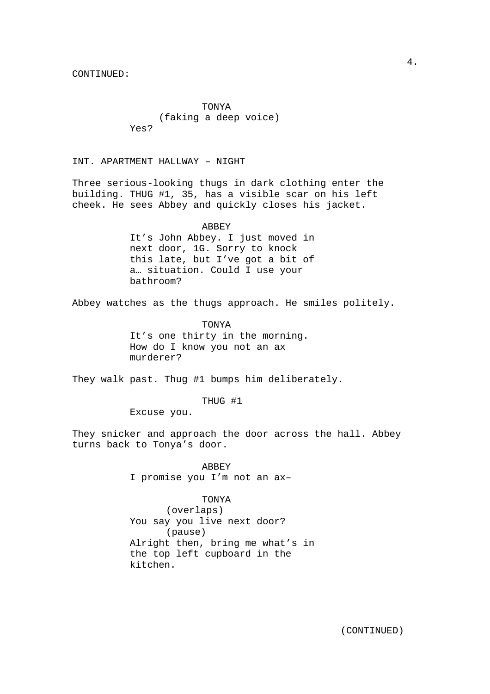TONYA (faking a deep voice) Yes?

INT. APARTMENT HALLWAY – NIGHT

Three serious-looking thugs in dark clothing enter the building. THUG #1, 35, has a visible scar on his left cheek. He sees Abbey and quickly closes his jacket.

#### ABBEY

It's John Abbey. I just moved in next door, 1G. Sorry to knock this late, but I've got a bit of a… situation. Could I use your bathroom?

Abbey watches as the thugs approach. He smiles politely.

 TONYA It's one thirty in the morning. How do I know you not an ax murderer?

They walk past. Thug #1 bumps him deliberately.

THUG #1

Excuse you.

They snicker and approach the door across the hall. Abbey turns back to Tonya's door.

> ABBEY I promise you I'm not an ax–

### TONYA

 (overlaps) You say you live next door? (pause) Alright then, bring me what's in the top left cupboard in the kitchen.

4.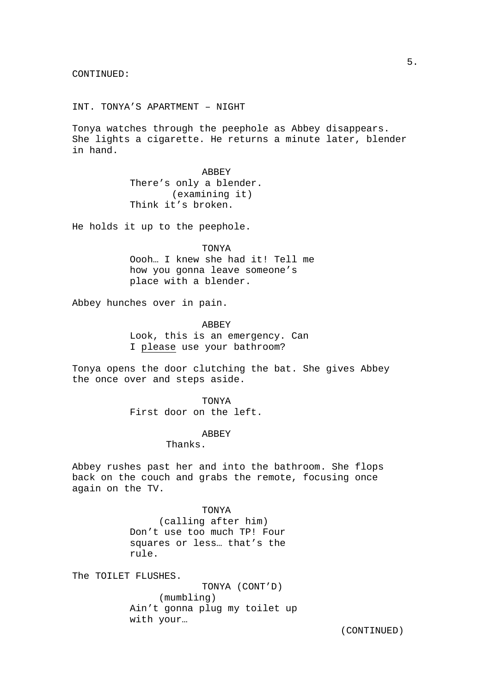INT. TONYA'S APARTMENT – NIGHT

Tonya watches through the peephole as Abbey disappears. She lights a cigarette. He returns a minute later, blender in hand.

> ABBEY There's only a blender. (examining it) Think it's broken.

He holds it up to the peephole.

 TONYA Oooh… I knew she had it! Tell me how you gonna leave someone's place with a blender.

Abbey hunches over in pain.

 ABBEY Look, this is an emergency. Can I please use your bathroom?

Tonya opens the door clutching the bat. She gives Abbey the once over and steps aside.

TONYA

First door on the left.

**ABBEY** 

Thanks.

Abbey rushes past her and into the bathroom. She flops back on the couch and grabs the remote, focusing once again on the TV.

#### TONYA

 (calling after him) Don't use too much TP! Four squares or less… that's the rule.

The TOILET FLUSHES.

 TONYA (CONT'D) (mumbling) Ain't gonna plug my toilet up with your…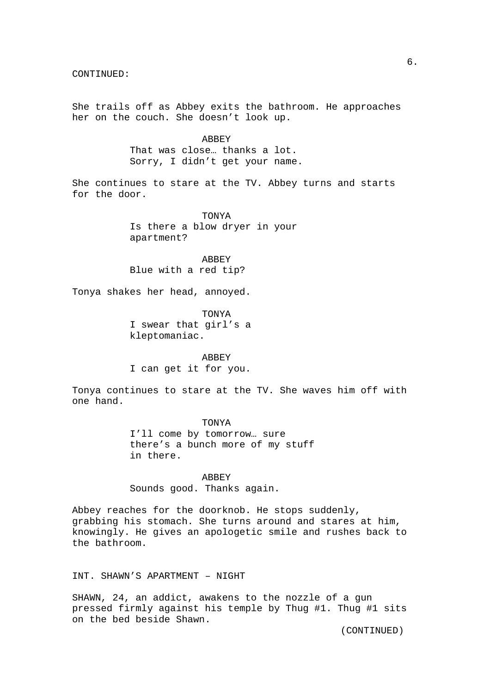She trails off as Abbey exits the bathroom. He approaches her on the couch. She doesn't look up.

> ABBEY That was close… thanks a lot. Sorry, I didn't get your name.

She continues to stare at the TV. Abbey turns and starts for the door.

> TONYA Is there a blow dryer in your apartment?

**ABBEY** Blue with a red tip?

Tonya shakes her head, annoyed.

 TONYA I swear that girl's a kleptomaniac.

 ABBEY I can get it for you.

Tonya continues to stare at the TV. She waves him off with one hand.

> TONYA I'll come by tomorrow… sure there's a bunch more of my stuff in there.

 ABBEY Sounds good. Thanks again.

Abbey reaches for the doorknob. He stops suddenly, grabbing his stomach. She turns around and stares at him, knowingly. He gives an apologetic smile and rushes back to the bathroom.

INT. SHAWN'S APARTMENT – NIGHT

SHAWN, 24, an addict, awakens to the nozzle of a gun pressed firmly against his temple by Thug #1. Thug #1 sits on the bed beside Shawn.

6.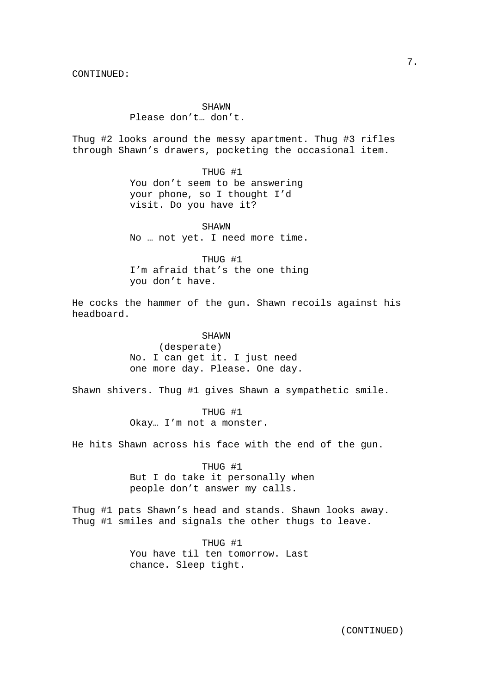**SHAWN** Please don't… don't.

Thug #2 looks around the messy apartment. Thug #3 rifles through Shawn's drawers, pocketing the occasional item.

> THUG #1 You don't seem to be answering your phone, so I thought I'd visit. Do you have it?

 SHAWN No … not yet. I need more time.

 THUG #1 I'm afraid that's the one thing you don't have.

He cocks the hammer of the gun. Shawn recoils against his headboard.

> SHAWN (desperate) No. I can get it. I just need one more day. Please. One day.

Shawn shivers. Thug #1 gives Shawn a sympathetic smile.

 THUG #1 Okay… I'm not a monster.

He hits Shawn across his face with the end of the gun.

 THUG #1 But I do take it personally when people don't answer my calls.

Thug #1 pats Shawn's head and stands. Shawn looks away. Thug #1 smiles and signals the other thugs to leave.

> THUG #1 You have til ten tomorrow. Last chance. Sleep tight.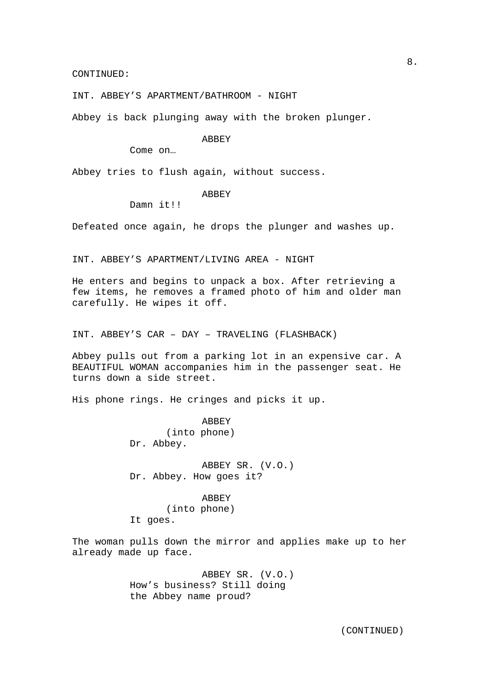INT. ABBEY'S APARTMENT/BATHROOM - NIGHT

Abbey is back plunging away with the broken plunger.

## ABBEY

Come on…

Abbey tries to flush again, without success.

## ABBEY

Damn it!!!

Defeated once again, he drops the plunger and washes up.

INT. ABBEY'S APARTMENT/LIVING AREA - NIGHT

He enters and begins to unpack a box. After retrieving a few items, he removes a framed photo of him and older man carefully. He wipes it off.

INT. ABBEY'S CAR – DAY – TRAVELING (FLASHBACK)

Abbey pulls out from a parking lot in an expensive car. A BEAUTIFUL WOMAN accompanies him in the passenger seat. He turns down a side street.

His phone rings. He cringes and picks it up.

 ABBEY (into phone) Dr. Abbey.

 ABBEY SR. (V.O.) Dr. Abbey. How goes it?

# ABBEY (into phone)

It goes.

The woman pulls down the mirror and applies make up to her already made up face.

> ABBEY SR. (V.O.) How's business? Still doing the Abbey name proud?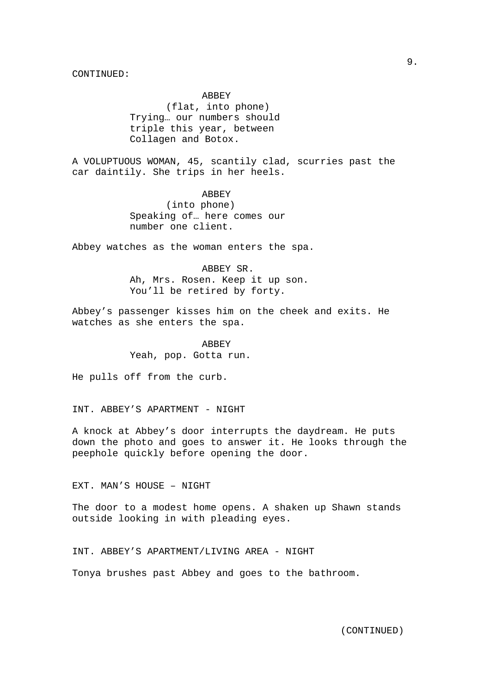ABBEY (flat, into phone) Trying… our numbers should triple this year, between Collagen and Botox.

A VOLUPTUOUS WOMAN, 45, scantily clad, scurries past the car daintily. She trips in her heels.

> ABBEY (into phone) Speaking of… here comes our number one client.

Abbey watches as the woman enters the spa.

 ABBEY SR. Ah, Mrs. Rosen. Keep it up son. You'll be retired by forty.

Abbey's passenger kisses him on the cheek and exits. He watches as she enters the spa.

> ABBEY Yeah, pop. Gotta run.

He pulls off from the curb.

INT. ABBEY'S APARTMENT - NIGHT

A knock at Abbey's door interrupts the daydream. He puts down the photo and goes to answer it. He looks through the peephole quickly before opening the door.

EXT. MAN'S HOUSE – NIGHT

The door to a modest home opens. A shaken up Shawn stands outside looking in with pleading eyes.

INT. ABBEY'S APARTMENT/LIVING AREA - NIGHT

Tonya brushes past Abbey and goes to the bathroom.

9.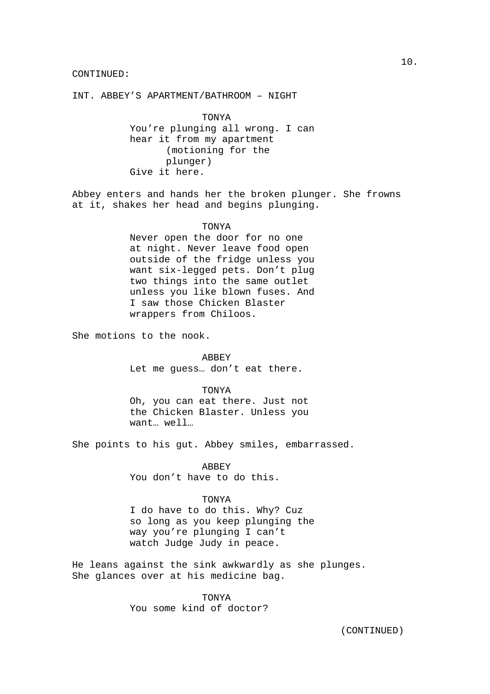## INT. ABBEY'S APARTMENT/BATHROOM – NIGHT

 TONYA You're plunging all wrong. I can hear it from my apartment (motioning for the plunger) Give it here.

Abbey enters and hands her the broken plunger. She frowns at it, shakes her head and begins plunging.

## TONYA

Never open the door for no one at night. Never leave food open outside of the fridge unless you want six-legged pets. Don't plug two things into the same outlet unless you like blown fuses. And I saw those Chicken Blaster wrappers from Chiloos.

She motions to the nook.

 ABBEY Let me guess… don't eat there.

#### TONYA

Oh, you can eat there. Just not the Chicken Blaster. Unless you want… well…

She points to his gut. Abbey smiles, embarrassed.

 ABBEY You don't have to do this.

### TONYA

I do have to do this. Why? Cuz so long as you keep plunging the way you're plunging I can't watch Judge Judy in peace.

He leans against the sink awkwardly as she plunges. She glances over at his medicine bag.

> TONYA You some kind of doctor?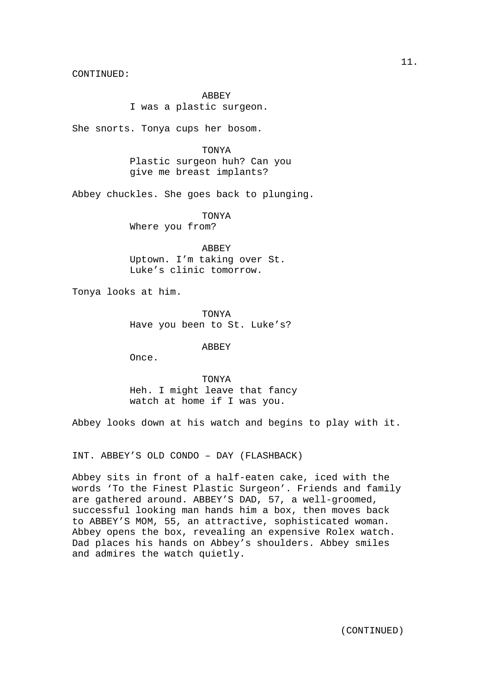ABBEY I was a plastic surgeon.

She snorts. Tonya cups her bosom.

 TONYA Plastic surgeon huh? Can you give me breast implants?

Abbey chuckles. She goes back to plunging.

 TONYA Where you from?

 ABBEY Uptown. I'm taking over St. Luke's clinic tomorrow.

Tonya looks at him.

 TONYA Have you been to St. Luke's?

ABBEY

Once.

 TONYA Heh. I might leave that fancy watch at home if I was you.

Abbey looks down at his watch and begins to play with it.

INT. ABBEY'S OLD CONDO – DAY (FLASHBACK)

Abbey sits in front of a half-eaten cake, iced with the words 'To the Finest Plastic Surgeon'. Friends and family are gathered around. ABBEY'S DAD, 57, a well-groomed, successful looking man hands him a box, then moves back to ABBEY'S MOM, 55, an attractive, sophisticated woman. Abbey opens the box, revealing an expensive Rolex watch. Dad places his hands on Abbey's shoulders. Abbey smiles and admires the watch quietly.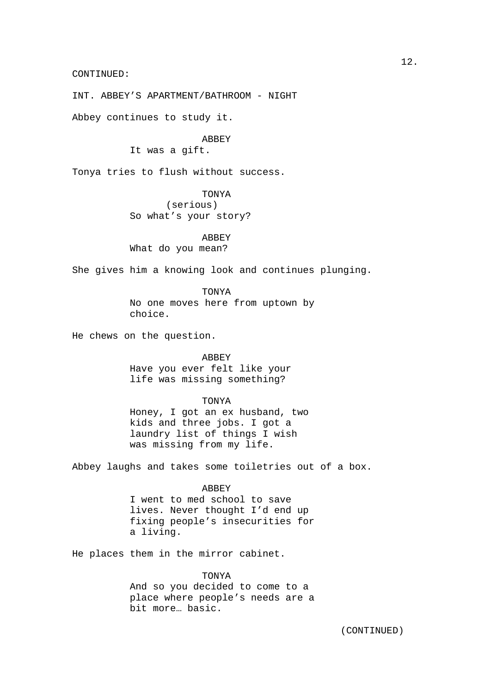INT. ABBEY'S APARTMENT/BATHROOM - NIGHT

Abbey continues to study it.

## **ABBEY**

It was a gift.

Tonya tries to flush without success.

TONYA

 (serious) So what's your story?

 ABBEY What do you mean?

She gives him a knowing look and continues plunging.

 TONYA No one moves here from uptown by choice.

He chews on the question.

ABBEY

Have you ever felt like your life was missing something?

## TONYA

Honey, I got an ex husband, two kids and three jobs. I got a laundry list of things I wish was missing from my life.

Abbey laughs and takes some toiletries out of a box.

#### **ABBEY**

I went to med school to save lives. Never thought I'd end up fixing people's insecurities for a living.

He places them in the mirror cabinet.

#### TONYA

And so you decided to come to a place where people's needs are a bit more… basic.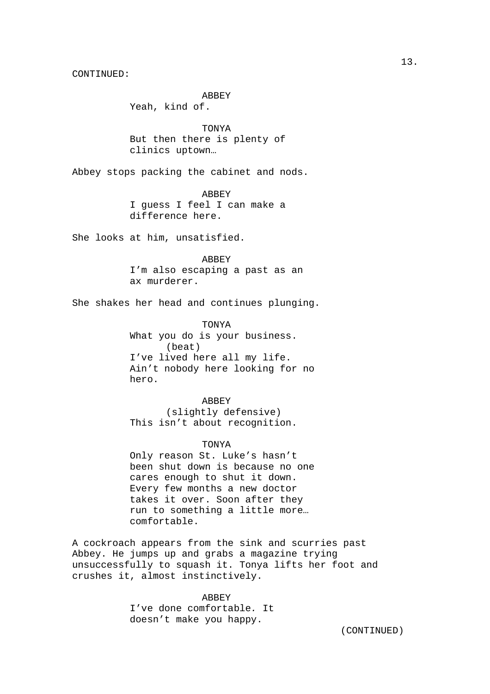ABBEY

Yeah, kind of.

TONYA But then there is plenty of clinics uptown…

Abbey stops packing the cabinet and nods.

 ABBEY I guess I feel I can make a difference here.

She looks at him, unsatisfied.

**ABBEY** I'm also escaping a past as an ax murderer.

She shakes her head and continues plunging.

 TONYA What you do is your business. (beat) I've lived here all my life. Ain't nobody here looking for no hero.

**ABBEY**  (slightly defensive) This isn't about recognition.

#### TONYA

Only reason St. Luke's hasn't been shut down is because no one cares enough to shut it down. Every few months a new doctor takes it over. Soon after they run to something a little more… comfortable.

A cockroach appears from the sink and scurries past Abbey. He jumps up and grabs a magazine trying unsuccessfully to squash it. Tonya lifts her foot and crushes it, almost instinctively.

> ABBEY I've done comfortable. It doesn't make you happy.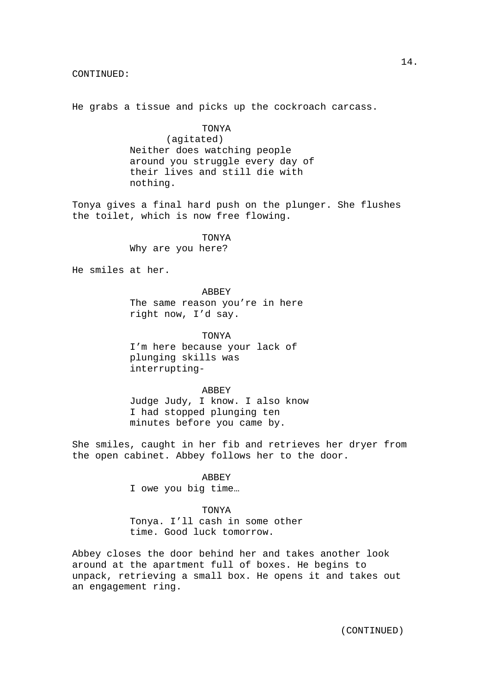He grabs a tissue and picks up the cockroach carcass.

## TONYA (agitated) Neither does watching people around you struggle every day of their lives and still die with nothing.

Tonya gives a final hard push on the plunger. She flushes the toilet, which is now free flowing.

> TONYA Why are you here?

He smiles at her.

 ABBEY The same reason you're in here right now, I'd say.

 TONYA I'm here because your lack of plunging skills was interrupting-

ABBEY

Judge Judy, I know. I also know I had stopped plunging ten minutes before you came by.

She smiles, caught in her fib and retrieves her dryer from the open cabinet. Abbey follows her to the door.

ABBEY

I owe you big time…

TONYA

Tonya. I'll cash in some other time. Good luck tomorrow.

Abbey closes the door behind her and takes another look around at the apartment full of boxes. He begins to unpack, retrieving a small box. He opens it and takes out an engagement ring.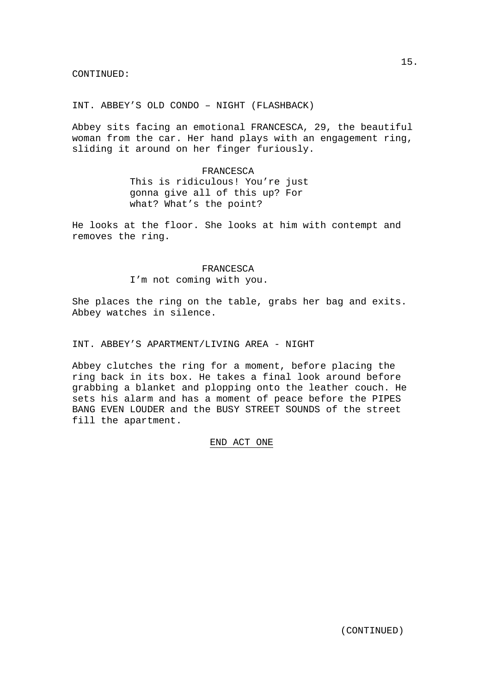INT. ABBEY'S OLD CONDO – NIGHT (FLASHBACK)

Abbey sits facing an emotional FRANCESCA, 29, the beautiful woman from the car. Her hand plays with an engagement ring, sliding it around on her finger furiously.

#### FRANCESCA

This is ridiculous! You're just gonna give all of this up? For what? What's the point?

He looks at the floor. She looks at him with contempt and removes the ring.

## FRANCESCA

I'm not coming with you.

She places the ring on the table, grabs her bag and exits. Abbey watches in silence.

## INT. ABBEY'S APARTMENT/LIVING AREA - NIGHT

Abbey clutches the ring for a moment, before placing the ring back in its box. He takes a final look around before grabbing a blanket and plopping onto the leather couch. He sets his alarm and has a moment of peace before the PIPES BANG EVEN LOUDER and the BUSY STREET SOUNDS of the street fill the apartment.

## END ACT ONE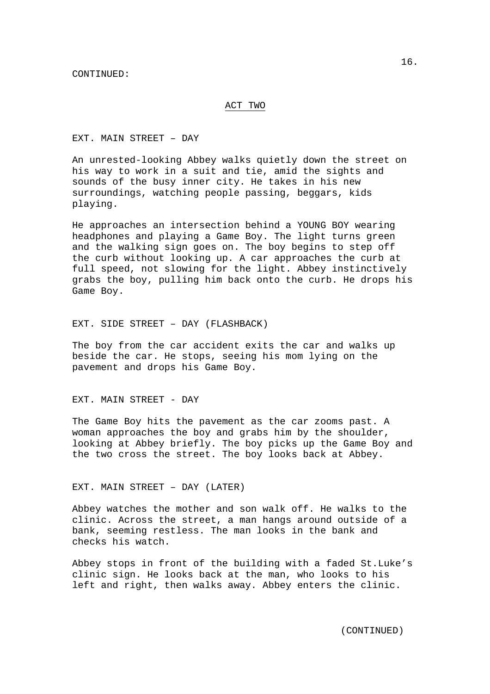## ACT TWO

EXT. MAIN STREET – DAY

An unrested-looking Abbey walks quietly down the street on his way to work in a suit and tie, amid the sights and sounds of the busy inner city. He takes in his new surroundings, watching people passing, beggars, kids playing.

He approaches an intersection behind a YOUNG BOY wearing headphones and playing a Game Boy. The light turns green and the walking sign goes on. The boy begins to step off the curb without looking up. A car approaches the curb at full speed, not slowing for the light. Abbey instinctively grabs the boy, pulling him back onto the curb. He drops his Game Boy.

EXT. SIDE STREET – DAY (FLASHBACK)

The boy from the car accident exits the car and walks up beside the car. He stops, seeing his mom lying on the pavement and drops his Game Boy.

EXT. MAIN STREET - DAY

The Game Boy hits the pavement as the car zooms past. A woman approaches the boy and grabs him by the shoulder, looking at Abbey briefly. The boy picks up the Game Boy and the two cross the street. The boy looks back at Abbey.

EXT. MAIN STREET – DAY (LATER)

Abbey watches the mother and son walk off. He walks to the clinic. Across the street, a man hangs around outside of a bank, seeming restless. The man looks in the bank and checks his watch.

Abbey stops in front of the building with a faded St.Luke's clinic sign. He looks back at the man, who looks to his left and right, then walks away. Abbey enters the clinic.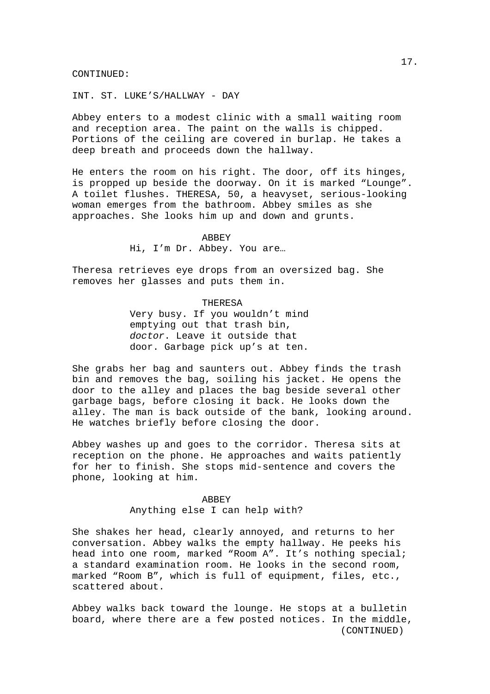INT. ST. LUKE'S/HALLWAY - DAY

Abbey enters to a modest clinic with a small waiting room and reception area. The paint on the walls is chipped. Portions of the ceiling are covered in burlap. He takes a deep breath and proceeds down the hallway.

He enters the room on his right. The door, off its hinges, is propped up beside the doorway. On it is marked "Lounge". A toilet flushes. THERESA, 50, a heavyset, serious-looking woman emerges from the bathroom. Abbey smiles as she approaches. She looks him up and down and grunts.

#### ABBEY

Hi, I'm Dr. Abbey. You are…

Theresa retrieves eye drops from an oversized bag. She removes her glasses and puts them in.

#### **THERESA**

Very busy. If you wouldn't mind emptying out that trash bin, doctor. Leave it outside that door. Garbage pick up's at ten.

She grabs her bag and saunters out. Abbey finds the trash bin and removes the bag, soiling his jacket. He opens the door to the alley and places the bag beside several other garbage bags, before closing it back. He looks down the alley. The man is back outside of the bank, looking around. He watches briefly before closing the door.

Abbey washes up and goes to the corridor. Theresa sits at reception on the phone. He approaches and waits patiently for her to finish. She stops mid-sentence and covers the phone, looking at him.

### ABBEY

Anything else I can help with?

She shakes her head, clearly annoyed, and returns to her conversation. Abbey walks the empty hallway. He peeks his head into one room, marked "Room A". It's nothing special; a standard examination room. He looks in the second room, marked "Room B", which is full of equipment, files, etc., scattered about.

 (CONTINUED) Abbey walks back toward the lounge. He stops at a bulletin board, where there are a few posted notices. In the middle,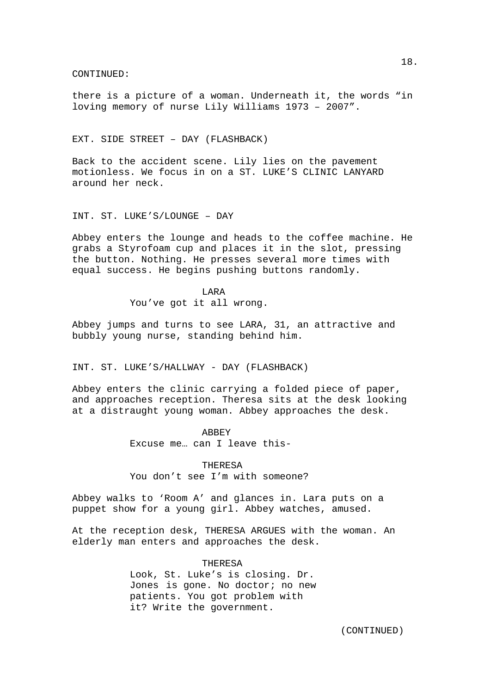there is a picture of a woman. Underneath it, the words "in loving memory of nurse Lily Williams 1973 – 2007".

## EXT. SIDE STREET – DAY (FLASHBACK)

Back to the accident scene. Lily lies on the pavement motionless. We focus in on a ST. LUKE'S CLINIC LANYARD around her neck.

INT. ST. LUKE'S/LOUNGE – DAY

Abbey enters the lounge and heads to the coffee machine. He grabs a Styrofoam cup and places it in the slot, pressing the button. Nothing. He presses several more times with equal success. He begins pushing buttons randomly.

> LARA You've got it all wrong.

Abbey jumps and turns to see LARA, 31, an attractive and bubbly young nurse, standing behind him.

INT. ST. LUKE'S/HALLWAY - DAY (FLASHBACK)

Abbey enters the clinic carrying a folded piece of paper, and approaches reception. Theresa sits at the desk looking at a distraught young woman. Abbey approaches the desk.

#### ABBEY

Excuse me… can I leave this-

THERESA

You don't see I'm with someone?

Abbey walks to 'Room A' and glances in. Lara puts on a puppet show for a young girl. Abbey watches, amused.

At the reception desk, THERESA ARGUES with the woman. An elderly man enters and approaches the desk.

## THERESA

Look, St. Luke's is closing. Dr. Jones is gone. No doctor; no new patients. You got problem with it? Write the government.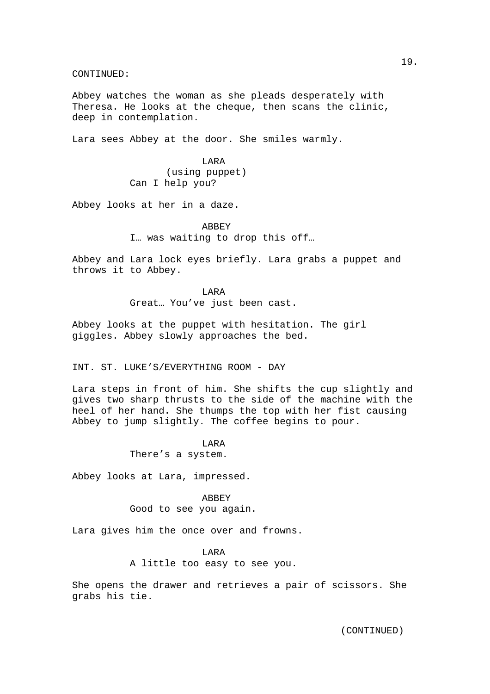Abbey watches the woman as she pleads desperately with Theresa. He looks at the cheque, then scans the clinic, deep in contemplation.

Lara sees Abbey at the door. She smiles warmly.

 LARA (using puppet) Can I help you?

Abbey looks at her in a daze.

 ABBEY I… was waiting to drop this off…

Abbey and Lara lock eyes briefly. Lara grabs a puppet and throws it to Abbey.

> LARA Great… You've just been cast.

Abbey looks at the puppet with hesitation. The girl giggles. Abbey slowly approaches the bed.

INT. ST. LUKE'S/EVERYTHING ROOM - DAY

Lara steps in front of him. She shifts the cup slightly and gives two sharp thrusts to the side of the machine with the heel of her hand. She thumps the top with her fist causing Abbey to jump slightly. The coffee begins to pour.

# LARA

There's a system.

Abbey looks at Lara, impressed.

 ABBEY Good to see you again.

Lara gives him the once over and frowns.

## LARA

A little too easy to see you.

She opens the drawer and retrieves a pair of scissors. She grabs his tie.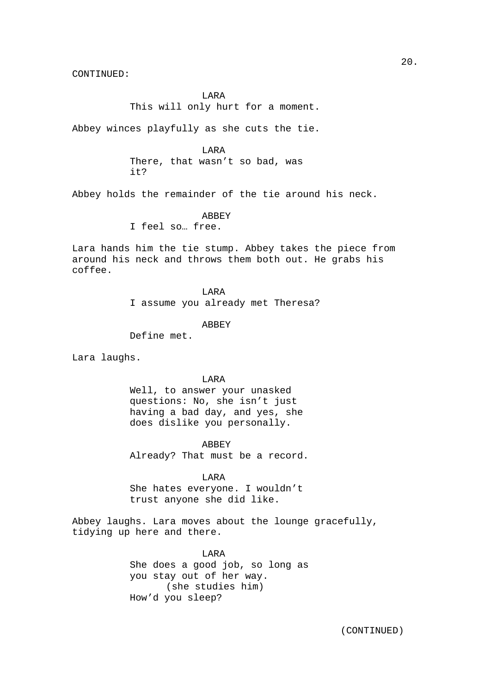LARA

This will only hurt for a moment.

Abbey winces playfully as she cuts the tie.

**TARA** There, that wasn't so bad, was it?

Abbey holds the remainder of the tie around his neck.

**ABBEY** 

I feel so… free.

Lara hands him the tie stump. Abbey takes the piece from around his neck and throws them both out. He grabs his coffee.

> LARA I assume you already met Theresa?

> > ABBEY

Define met.

Lara laughs.

LARA

Well, to answer your unasked questions: No, she isn't just having a bad day, and yes, she does dislike you personally.

ABBEY

Already? That must be a record.

LARA

She hates everyone. I wouldn't trust anyone she did like.

Abbey laughs. Lara moves about the lounge gracefully, tidying up here and there.

> LARA She does a good job, so long as you stay out of her way. (she studies him) How'd you sleep?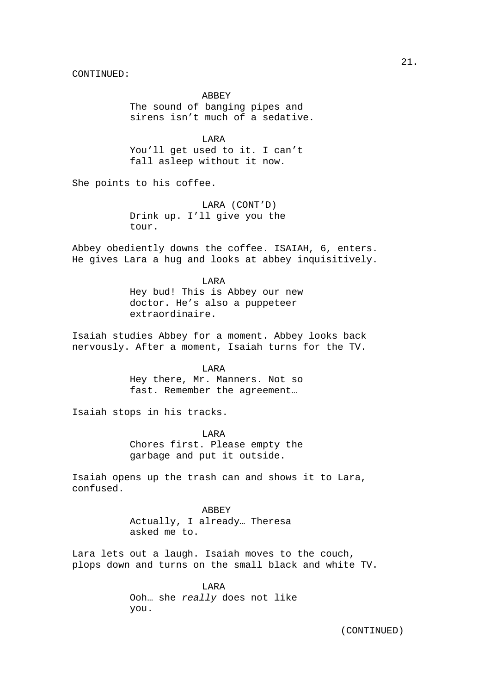ABBEY The sound of banging pipes and sirens isn't much of a sedative.

**TARA** You'll get used to it. I can't fall asleep without it now.

She points to his coffee.

 LARA (CONT'D) Drink up. I'll give you the tour.

Abbey obediently downs the coffee. ISAIAH, 6, enters. He gives Lara a hug and looks at abbey inquisitively.

> LARA Hey bud! This is Abbey our new doctor. He's also a puppeteer extraordinaire.

Isaiah studies Abbey for a moment. Abbey looks back nervously. After a moment, Isaiah turns for the TV.

> LARA Hey there, Mr. Manners. Not so fast. Remember the agreement…

Isaiah stops in his tracks.

 LARA Chores first. Please empty the garbage and put it outside.

Isaiah opens up the trash can and shows it to Lara, confused.

> ABBEY Actually, I already… Theresa asked me to.

Lara lets out a laugh. Isaiah moves to the couch, plops down and turns on the small black and white TV.

> LARA Ooh… she really does not like you.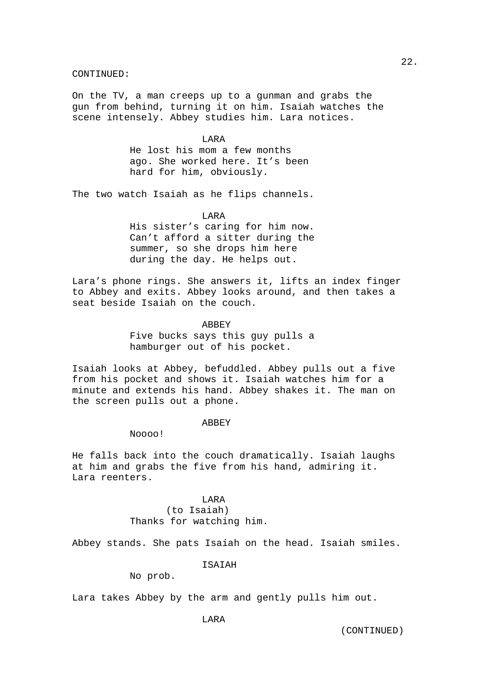On the TV, a man creeps up to a gunman and grabs the gun from behind, turning it on him. Isaiah watches the scene intensely. Abbey studies him. Lara notices.

### **TARA**

He lost his mom a few months ago. She worked here. It's been hard for him, obviously.

The two watch Isaiah as he flips channels.

LARA

His sister's caring for him now. Can't afford a sitter during the summer, so she drops him here during the day. He helps out.

Lara's phone rings. She answers it, lifts an index finger to Abbey and exits. Abbey looks around, and then takes a seat beside Isaiah on the couch.

#### ABBEY

Five bucks says this guy pulls a hamburger out of his pocket.

Isaiah looks at Abbey, befuddled. Abbey pulls out a five from his pocket and shows it. Isaiah watches him for a minute and extends his hand. Abbey shakes it. The man on the screen pulls out a phone.

#### **ABBEY**

Noooo!

He falls back into the couch dramatically. Isaiah laughs at him and grabs the five from his hand, admiring it. Lara reenters.

> LARA (to Isaiah) Thanks for watching him.

Abbey stands. She pats Isaiah on the head. Isaiah smiles.

**TSAIAH** 

No prob.

Lara takes Abbey by the arm and gently pulls him out.

**TARA** 

22.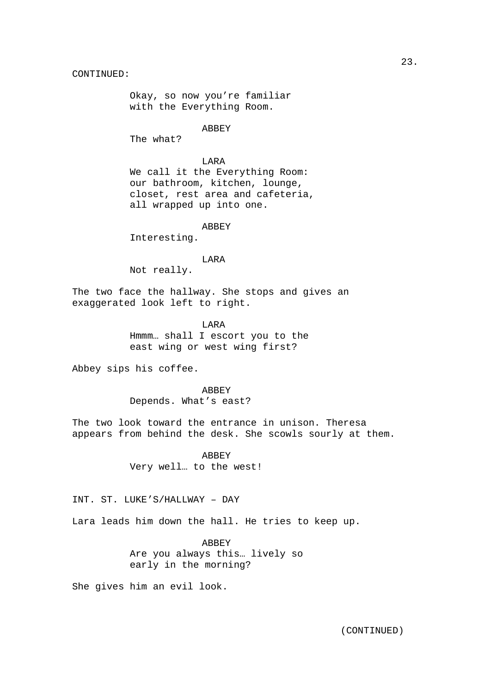Okay, so now you're familiar with the Everything Room.

ABBEY

The what?

 LARA We call it the Everything Room: our bathroom, kitchen, lounge, closet, rest area and cafeteria, all wrapped up into one.

ABBEY

Interesting.

LARA

Not really.

The two face the hallway. She stops and gives an exaggerated look left to right.

> LARA Hmmm… shall I escort you to the east wing or west wing first?

Abbey sips his coffee.

 ABBEY Depends. What's east?

The two look toward the entrance in unison. Theresa appears from behind the desk. She scowls sourly at them.

> ABBEY Very well… to the west!

INT. ST. LUKE'S/HALLWAY – DAY

Lara leads him down the hall. He tries to keep up.

 ABBEY Are you always this… lively so early in the morning?

She gives him an evil look.

23.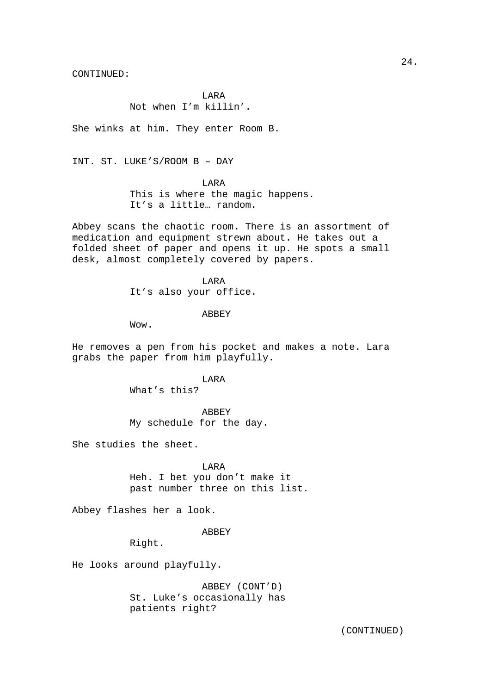LARA Not when I'm killin'.

She winks at him. They enter Room B.

INT. ST. LUKE'S/ROOM B – DAY

LARA

This is where the magic happens. It's a little… random.

Abbey scans the chaotic room. There is an assortment of medication and equipment strewn about. He takes out a folded sheet of paper and opens it up. He spots a small desk, almost completely covered by papers.

> LARA It's also your office.

> > ABBEY

Wow.

He removes a pen from his pocket and makes a note. Lara grabs the paper from him playfully.

LARA

What's this?

 ABBEY My schedule for the day.

She studies the sheet.

 LARA Heh. I bet you don't make it past number three on this list.

Abbey flashes her a look.

ABBEY

Right.

He looks around playfully.

 ABBEY (CONT'D) St. Luke's occasionally has patients right?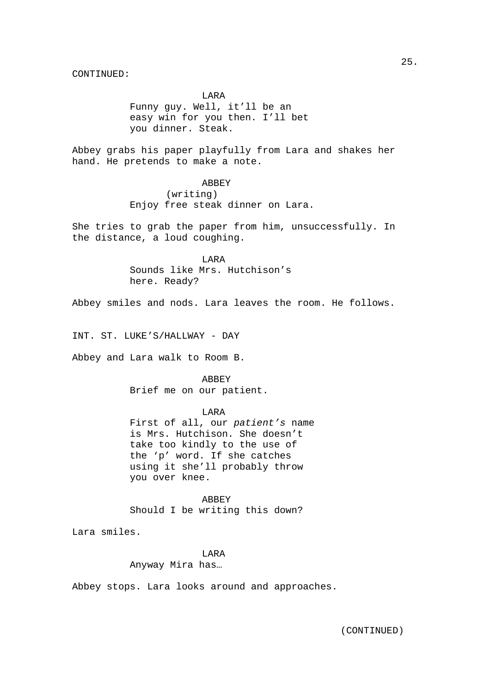LARA Funny guy. Well, it'll be an easy win for you then. I'll bet you dinner. Steak.

Abbey grabs his paper playfully from Lara and shakes her hand. He pretends to make a note.

> ABBEY (writing) Enjoy free steak dinner on Lara.

She tries to grab the paper from him, unsuccessfully. In the distance, a loud coughing.

> LARA Sounds like Mrs. Hutchison's here. Ready?

Abbey smiles and nods. Lara leaves the room. He follows.

INT. ST. LUKE'S/HALLWAY - DAY

Abbey and Lara walk to Room B.

 ABBEY Brief me on our patient.

LARA

First of all, our patient's name is Mrs. Hutchison. She doesn't take too kindly to the use of the 'p' word. If she catches using it she'll probably throw you over knee.

 ABBEY Should I be writing this down?

Lara smiles.

## LARA

Anyway Mira has…

Abbey stops. Lara looks around and approaches.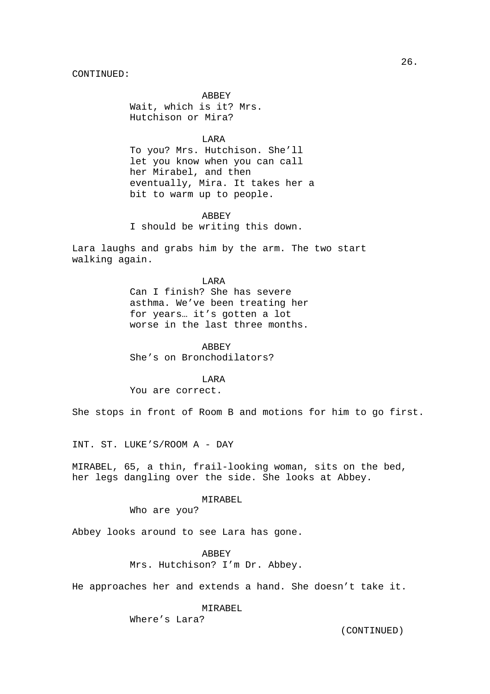ABBEY Wait, which is it? Mrs. Hutchison or Mira?

**TARA** 

To you? Mrs. Hutchison. She'll let you know when you can call her Mirabel, and then eventually, Mira. It takes her a bit to warm up to people.

**ABBEY** I should be writing this down.

Lara laughs and grabs him by the arm. The two start walking again.

> LARA Can I finish? She has severe asthma. We've been treating her for years… it's gotten a lot worse in the last three months.

 ABBEY She's on Bronchodilators?

LARA

You are correct.

She stops in front of Room B and motions for him to go first.

INT. ST. LUKE'S/ROOM A - DAY

MIRABEL, 65, a thin, frail-looking woman, sits on the bed, her legs dangling over the side. She looks at Abbey.

### MIRABEL

Who are you?

Abbey looks around to see Lara has gone.

## ABBEY

Mrs. Hutchison? I'm Dr. Abbey.

He approaches her and extends a hand. She doesn't take it.

## MIRABEL

Where's Lara?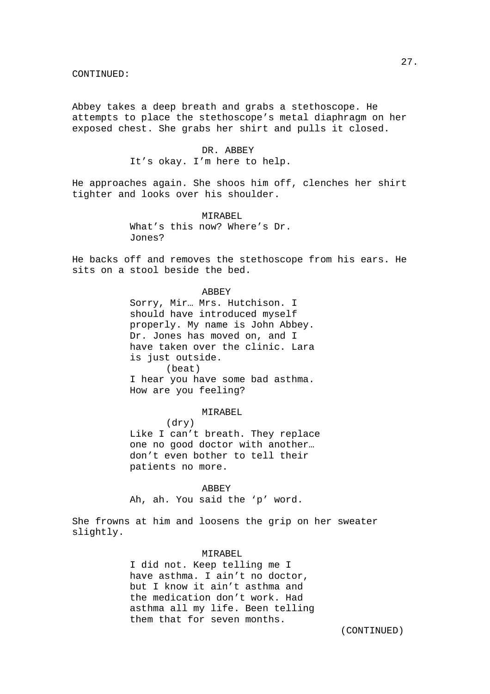Abbey takes a deep breath and grabs a stethoscope. He attempts to place the stethoscope's metal diaphragm on her exposed chest. She grabs her shirt and pulls it closed.

## DR. ABBEY It's okay. I'm here to help.

He approaches again. She shoos him off, clenches her shirt tighter and looks over his shoulder.

> MIRAREL. What's this now? Where's Dr. Jones?

He backs off and removes the stethoscope from his ears. He sits on a stool beside the bed.

ABBEY

Sorry, Mir… Mrs. Hutchison. I should have introduced myself properly. My name is John Abbey. Dr. Jones has moved on, and I have taken over the clinic. Lara is just outside. (beat) I hear you have some bad asthma. How are you feeling?

MIRABEL

 (dry) Like I can't breath. They replace one no good doctor with another… don't even bother to tell their patients no more.

**ABBEY** Ah, ah. You said the 'p' word.

She frowns at him and loosens the grip on her sweater slightly.

#### MIRABEL

I did not. Keep telling me I have asthma. I ain't no doctor, but I know it ain't asthma and the medication don't work. Had asthma all my life. Been telling them that for seven months.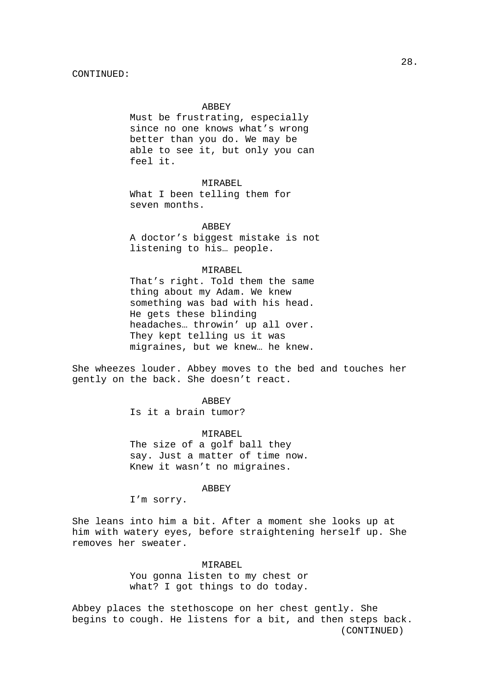#### ABBEY

Must be frustrating, especially since no one knows what's wrong better than you do. We may be able to see it, but only you can feel it.

### MIRABEL

 What I been telling them for seven months.

#### ABBEY

 A doctor's biggest mistake is not listening to his… people.

#### MIRABEL

That's right. Told them the same thing about my Adam. We knew something was bad with his head. He gets these blinding headaches… throwin' up all over. They kept telling us it was migraines, but we knew… he knew.

She wheezes louder. Abbey moves to the bed and touches her gently on the back. She doesn't react.

### **ABBEY**

Is it a brain tumor?

#### MIRABEL

The size of a golf ball they say. Just a matter of time now. Knew it wasn't no migraines.

#### **ABBEY**

I'm sorry.

She leans into him a bit. After a moment she looks up at him with watery eyes, before straightening herself up. She removes her sweater.

### MIRABEL.

You gonna listen to my chest or what? I got things to do today.

 (CONTINUED) Abbey places the stethoscope on her chest gently. She begins to cough. He listens for a bit, and then steps back.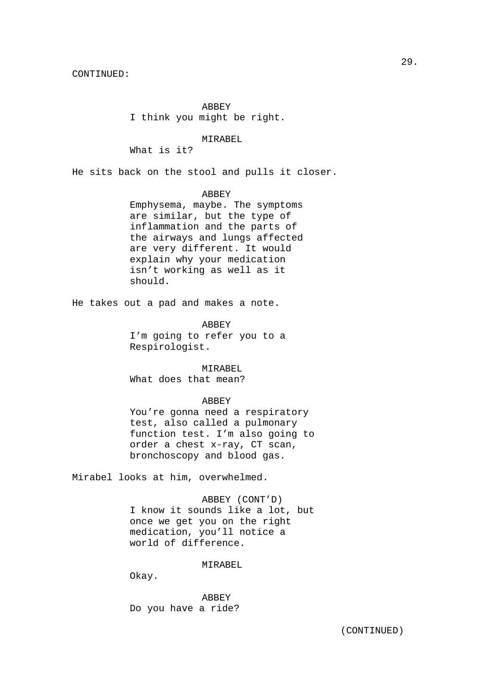ABBEY I think you might be right.

MIRABEL

What is it?

He sits back on the stool and pulls it closer.

ABBEY

Emphysema, maybe. The symptoms are similar, but the type of inflammation and the parts of the airways and lungs affected are very different. It would explain why your medication isn't working as well as it should.

He takes out a pad and makes a note.

 ABBEY I'm going to refer you to a Respirologist.

 MIRABEL What does that mean?

## ABBEY

You're gonna need a respiratory test, also called a pulmonary function test. I'm also going to order a chest x-ray, CT scan, bronchoscopy and blood gas.

Mirabel looks at him, overwhelmed.

 ABBEY (CONT'D) I know it sounds like a lot, but once we get you on the right medication, you'll notice a world of difference.

MIRABEL.

Okay.

 ABBEY Do you have a ride?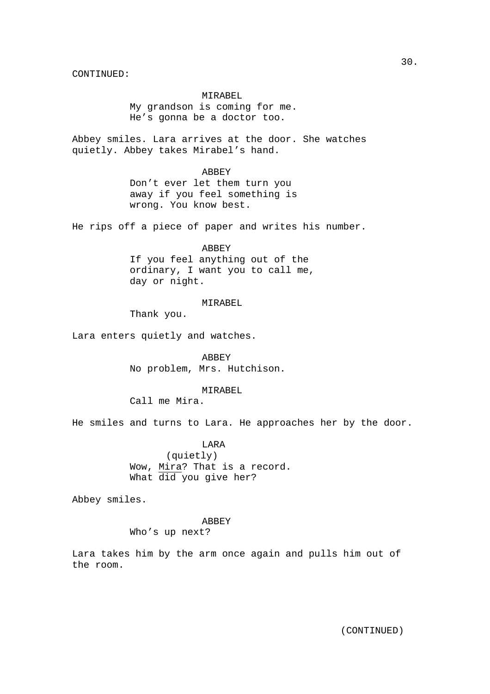## MIRABEL

My grandson is coming for me. He's gonna be a doctor too.

Abbey smiles. Lara arrives at the door. She watches quietly. Abbey takes Mirabel's hand.

#### ABBEY

Don't ever let them turn you away if you feel something is wrong. You know best.

He rips off a piece of paper and writes his number.

# ABBEY

If you feel anything out of the ordinary, I want you to call me, day or night.

## MIRABEL

Thank you.

Lara enters quietly and watches.

 ABBEY No problem, Mrs. Hutchison.

### MIRABEL

Call me Mira.

He smiles and turns to Lara. He approaches her by the door.

 LARA (quietly) Wow, Mira? That is a record. What did you give her?

Abbey smiles.

# ABBEY

Who's up next?

Lara takes him by the arm once again and pulls him out of the room.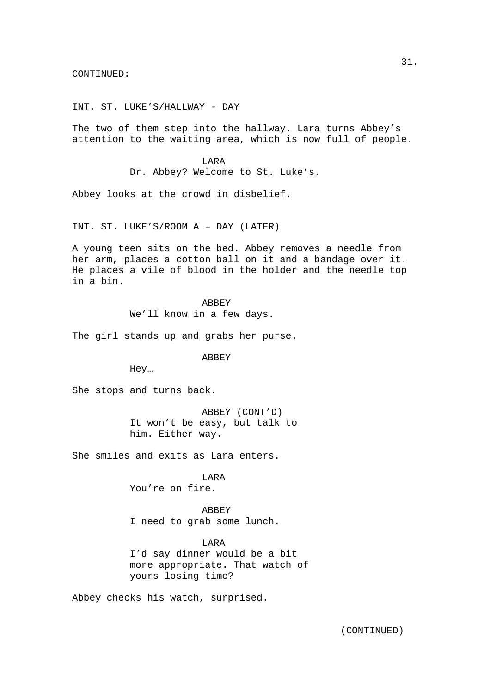INT. ST. LUKE'S/HALLWAY - DAY

The two of them step into the hallway. Lara turns Abbey's attention to the waiting area, which is now full of people.

> LARA Dr. Abbey? Welcome to St. Luke's.

Abbey looks at the crowd in disbelief.

INT. ST. LUKE'S/ROOM A – DAY (LATER)

A young teen sits on the bed. Abbey removes a needle from her arm, places a cotton ball on it and a bandage over it. He places a vile of blood in the holder and the needle top in a bin.

> **ABBEY** We'll know in a few days.

The girl stands up and grabs her purse.

ABBEY

Hey…

She stops and turns back.

 ABBEY (CONT'D) It won't be easy, but talk to him. Either way.

She smiles and exits as Lara enters.

 LARA You're on fire.

 ABBEY I need to grab some lunch.

LARA I'd say dinner would be a bit more appropriate. That watch of yours losing time?

Abbey checks his watch, surprised.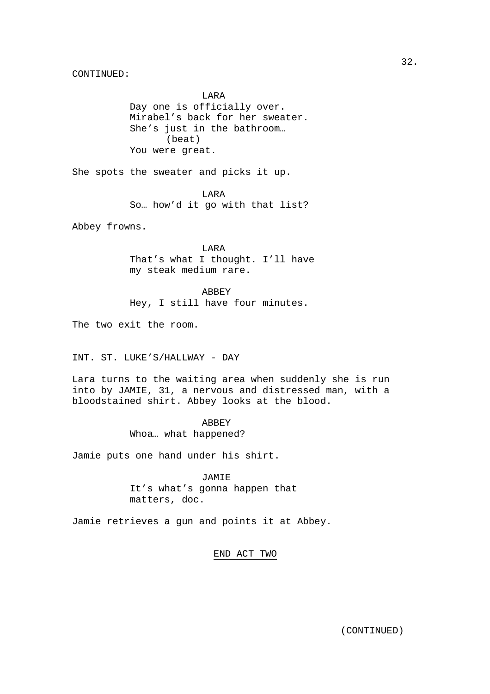LARA Day one is officially over. Mirabel's back for her sweater. She's just in the bathroom… (beat) You were great.

She spots the sweater and picks it up.

 LARA So… how'd it go with that list?

Abbey frowns.

 LARA That's what I thought. I'll have my steak medium rare.

 ABBEY Hey, I still have four minutes.

The two exit the room.

INT. ST. LUKE'S/HALLWAY - DAY

Lara turns to the waiting area when suddenly she is run into by JAMIE, 31, a nervous and distressed man, with a bloodstained shirt. Abbey looks at the blood.

> ABBEY Whoa… what happened?

Jamie puts one hand under his shirt.

 JAMIE It's what's gonna happen that matters, doc.

Jamie retrieves a gun and points it at Abbey.

END ACT TWO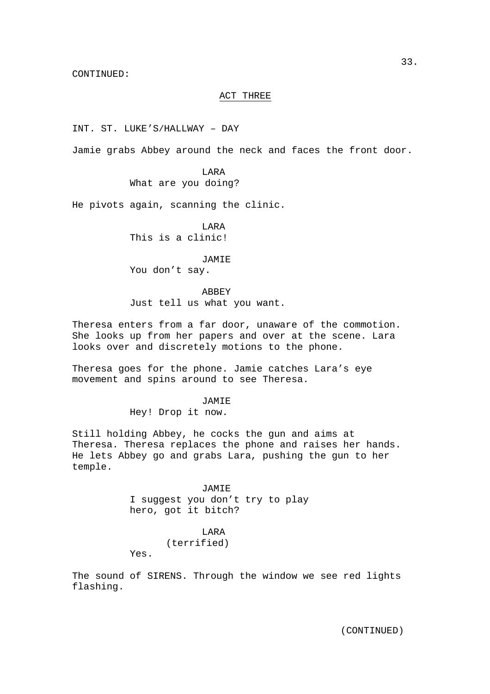## ACT THREE

INT. ST. LUKE'S/HALLWAY – DAY

Jamie grabs Abbey around the neck and faces the front door.

 LARA What are you doing?

He pivots again, scanning the clinic.

 LARA This is a clinic!

**JAMIE** You don't say.

 ABBEY Just tell us what you want.

Theresa enters from a far door, unaware of the commotion. She looks up from her papers and over at the scene. Lara looks over and discretely motions to the phone.

Theresa goes for the phone. Jamie catches Lara's eye movement and spins around to see Theresa.

JAMIE

Hey! Drop it now.

Still holding Abbey, he cocks the gun and aims at Theresa. Theresa replaces the phone and raises her hands. He lets Abbey go and grabs Lara, pushing the gun to her temple.

**JAMIE** 

I suggest you don't try to play hero, got it bitch?

## LARA

(terrified)

Yes.

The sound of SIRENS. Through the window we see red lights flashing.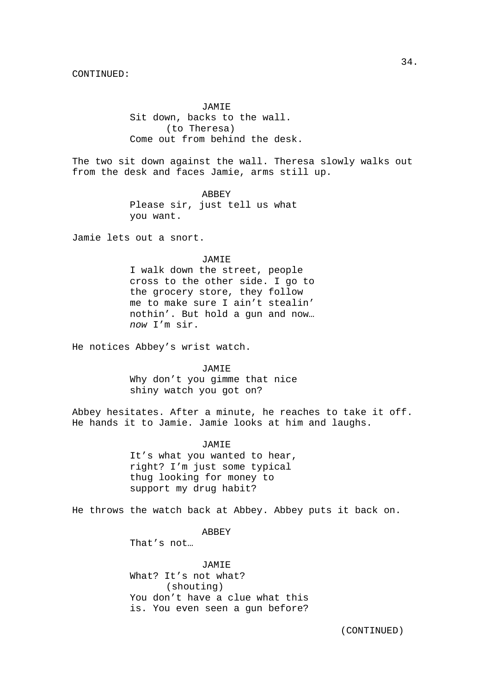JAMIE Sit down, backs to the wall. (to Theresa) Come out from behind the desk.

The two sit down against the wall. Theresa slowly walks out from the desk and faces Jamie, arms still up.

> ABBEY Please sir, just tell us what you want.

Jamie lets out a snort.

#### JAMIE

I walk down the street, people cross to the other side. I go to the grocery store, they follow me to make sure I ain't stealin' nothin'. But hold a gun and now… now I'm sir.

He notices Abbey's wrist watch.

 JAMIE Why don't you gimme that nice shiny watch you got on?

Abbey hesitates. After a minute, he reaches to take it off. He hands it to Jamie. Jamie looks at him and laughs.

JAMIE

It's what you wanted to hear, right? I'm just some typical thug looking for money to support my drug habit?

He throws the watch back at Abbey. Abbey puts it back on.

#### ABBEY

That's not…

 JAMIE What? It's not what? (shouting) You don't have a clue what this is. You even seen a gun before?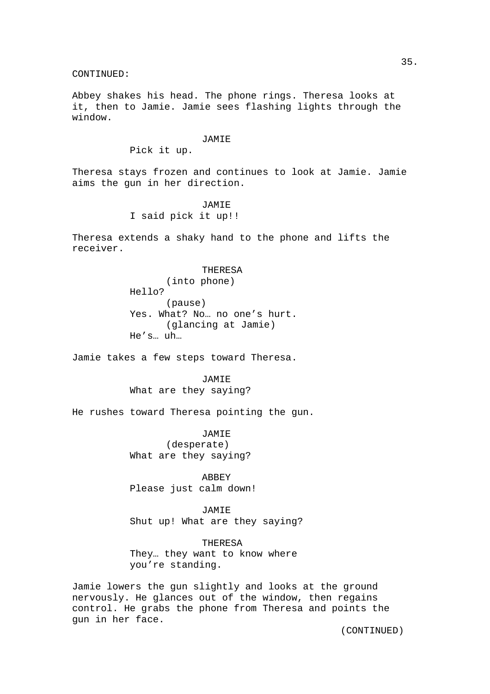Abbey shakes his head. The phone rings. Theresa looks at it, then to Jamie. Jamie sees flashing lights through the window.

#### **JAMIE**

Pick it up.

Theresa stays frozen and continues to look at Jamie. Jamie aims the gun in her direction.

> JAMIE I said pick it up!!

Theresa extends a shaky hand to the phone and lifts the receiver.

## THERESA (into phone) Hello? (pause) Yes. What? No… no one's hurt. (glancing at Jamie) He's… uh…

Jamie takes a few steps toward Theresa.

 JAMIE What are they saying?

He rushes toward Theresa pointing the gun.

 JAMIE (desperate) What are they saying?

 ABBEY Please just calm down!

 JAMIE Shut up! What are they saying?

 THERESA They… they want to know where you're standing.

Jamie lowers the gun slightly and looks at the ground nervously. He glances out of the window, then regains control. He grabs the phone from Theresa and points the gun in her face.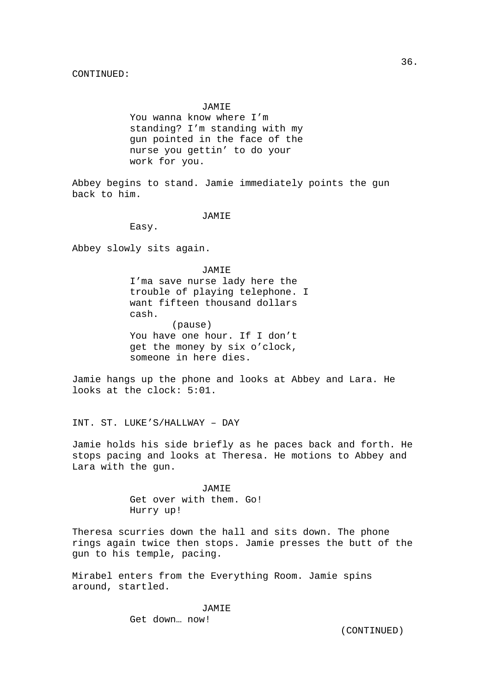#### JAMIE

You wanna know where I'm standing? I'm standing with my gun pointed in the face of the nurse you gettin' to do your work for you.

Abbey begins to stand. Jamie immediately points the gun back to him.

## **JAMIE**

Easy.

Abbey slowly sits again.

#### JAMIE

I'ma save nurse lady here the trouble of playing telephone. I want fifteen thousand dollars cash. (pause) You have one hour. If I don't get the money by six o'clock, someone in here dies.

Jamie hangs up the phone and looks at Abbey and Lara. He looks at the clock: 5:01.

INT. ST. LUKE'S/HALLWAY – DAY

Jamie holds his side briefly as he paces back and forth. He stops pacing and looks at Theresa. He motions to Abbey and Lara with the gun.

> **JAMIE**  Get over with them. Go! Hurry up!

Theresa scurries down the hall and sits down. The phone rings again twice then stops. Jamie presses the butt of the gun to his temple, pacing.

Mirabel enters from the Everything Room. Jamie spins around, startled.

> JAMIE Get down… now!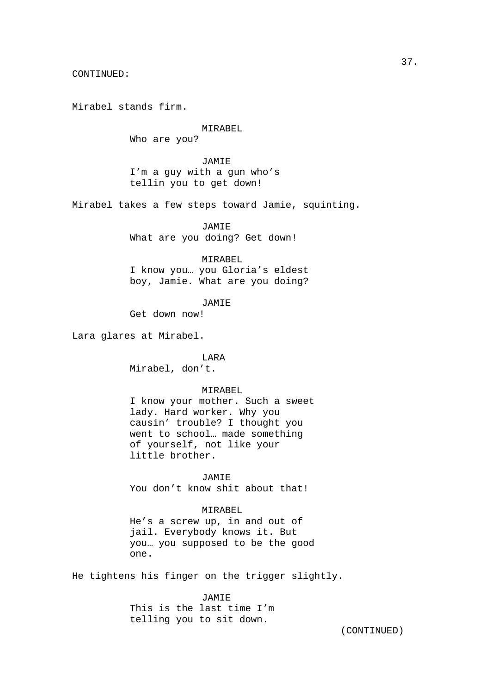Mirabel stands firm.

## MIRABEL Who are you?

 JAMIE I'm a guy with a gun who's tellin you to get down!

Mirabel takes a few steps toward Jamie, squinting.

JAMIE

What are you doing? Get down!

## MIRABEL

I know you… you Gloria's eldest boy, Jamie. What are you doing?

JAMIE

Get down now!

Lara glares at Mirabel.

 LARA Mirabel, don't.

#### MIRABEL

I know your mother. Such a sweet lady. Hard worker. Why you causin' trouble? I thought you went to school… made something of yourself, not like your little brother.

JAMIE

You don't know shit about that!

## MIRABEL

He's a screw up, in and out of jail. Everybody knows it. But you… you supposed to be the good one.

He tightens his finger on the trigger slightly.

 JAMIE This is the last time I'm telling you to sit down.

37.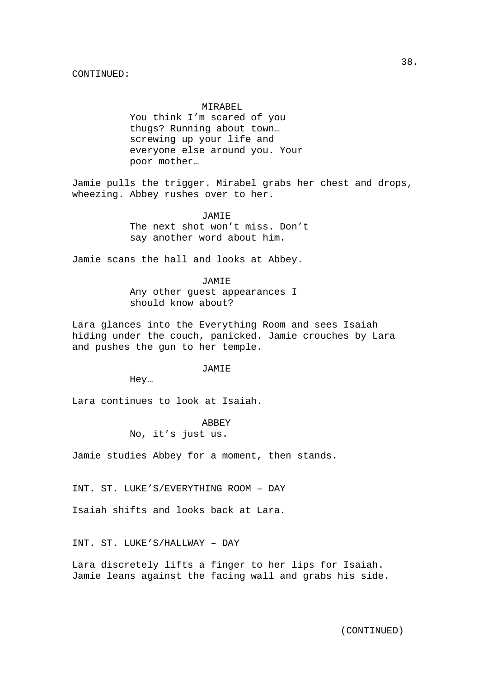#### MIRABEL

You think I'm scared of you thugs? Running about town… screwing up your life and everyone else around you. Your poor mother…

Jamie pulls the trigger. Mirabel grabs her chest and drops, wheezing. Abbey rushes over to her.

**JAMIE** 

The next shot won't miss. Don't say another word about him.

Jamie scans the hall and looks at Abbey.

#### JAMIE

Any other guest appearances I should know about?

Lara glances into the Everything Room and sees Isaiah hiding under the couch, panicked. Jamie crouches by Lara and pushes the gun to her temple.

#### JAMIE

Hey…

Lara continues to look at Isaiah.

**ABBEY** 

No, it's just us.

Jamie studies Abbey for a moment, then stands.

INT. ST. LUKE'S/EVERYTHING ROOM – DAY

Isaiah shifts and looks back at Lara.

INT. ST. LUKE'S/HALLWAY – DAY

Lara discretely lifts a finger to her lips for Isaiah. Jamie leans against the facing wall and grabs his side.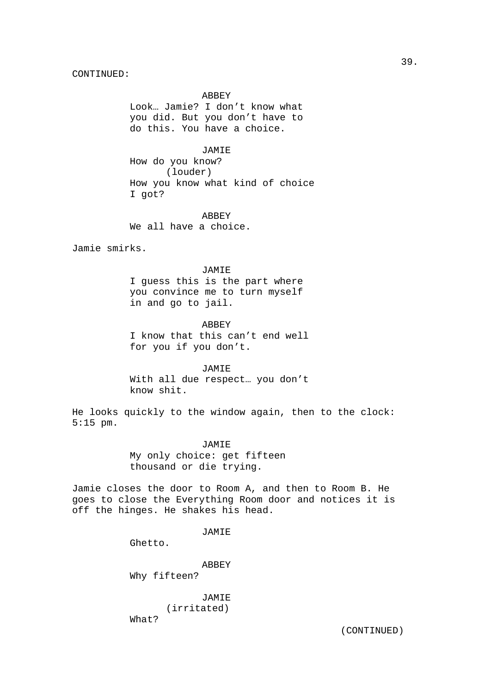#### ABBEY

Look… Jamie? I don't know what you did. But you don't have to do this. You have a choice.

#### JAMIE

How do you know? (louder) How you know what kind of choice I got?

**ABBEY** We all have a choice.

Jamie smirks.

#### JAMIE

I guess this is the part where you convince me to turn myself in and go to jail.

#### ABBEY

I know that this can't end well for you if you don't.

## JAMIE

With all due respect… you don't know shit.

He looks quickly to the window again, then to the clock: 5:15 pm.

#### JAMIE

My only choice: get fifteen thousand or die trying.

Jamie closes the door to Room A, and then to Room B. He goes to close the Everything Room door and notices it is off the hinges. He shakes his head.

#### JAMIE

Ghetto.

 ABBEY Why fifteen?

 JAMIE (irritated) What?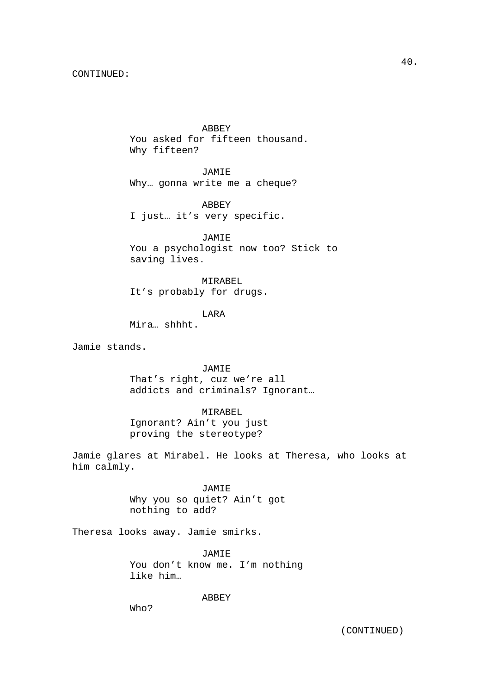ABBEY You asked for fifteen thousand. Why fifteen?

 JAMIE Why… gonna write me a cheque?

 ABBEY I just… it's very specific.

 JAMIE You a psychologist now too? Stick to saving lives.

 MIRABEL It's probably for drugs.

LARA

Mira… shhht.

Jamie stands.

 JAMIE That's right, cuz we're all addicts and criminals? Ignorant…

 MIRABEL Ignorant? Ain't you just proving the stereotype?

Jamie glares at Mirabel. He looks at Theresa, who looks at him calmly.

> JAMIE Why you so quiet? Ain't got nothing to add?

Theresa looks away. Jamie smirks.

 JAMIE You don't know me. I'm nothing like him…

ABBEY

Who?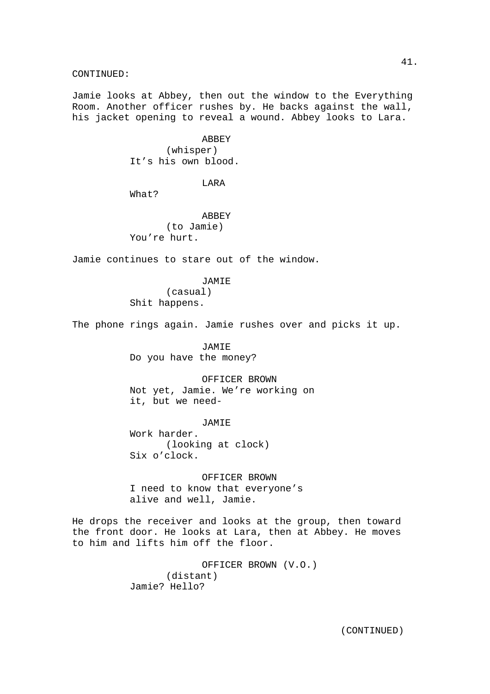Jamie looks at Abbey, then out the window to the Everything Room. Another officer rushes by. He backs against the wall, his jacket opening to reveal a wound. Abbey looks to Lara.

> **ABBEY**  (whisper) It's his own blood.

## LARA

What?

**ABBEY**  (to Jamie) You're hurt.

Jamie continues to stare out of the window.

### JAMIE

 (casual) Shit happens.

The phone rings again. Jamie rushes over and picks it up.

 JAMIE Do you have the money?

 OFFICER BROWN Not yet, Jamie. We're working on it, but we need-

#### **JAMIE**

Work harder. (looking at clock) Six o'clock.

 OFFICER BROWN I need to know that everyone's alive and well, Jamie.

He drops the receiver and looks at the group, then toward the front door. He looks at Lara, then at Abbey. He moves to him and lifts him off the floor.

> OFFICER BROWN (V.O.) (distant) Jamie? Hello?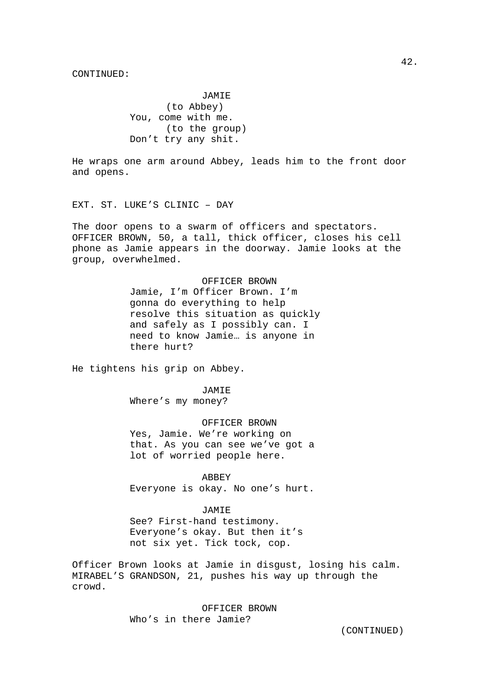JAMIE (to Abbey) You, come with me. (to the group) Don't try any shit.

He wraps one arm around Abbey, leads him to the front door and opens.

EXT. ST. LUKE'S CLINIC – DAY

The door opens to a swarm of officers and spectators. OFFICER BROWN, 50, a tall, thick officer, closes his cell phone as Jamie appears in the doorway. Jamie looks at the group, overwhelmed.

#### OFFICER BROWN

Jamie, I'm Officer Brown. I'm gonna do everything to help resolve this situation as quickly and safely as I possibly can. I need to know Jamie… is anyone in there hurt?

He tightens his grip on Abbey.

 JAMIE Where's my money?

 OFFICER BROWN Yes, Jamie. We're working on that. As you can see we've got a lot of worried people here.

 ABBEY Everyone is okay. No one's hurt.

 JAMIE See? First-hand testimony. Everyone's okay. But then it's not six yet. Tick tock, cop.

Officer Brown looks at Jamie in disgust, losing his calm. MIRABEL'S GRANDSON, 21, pushes his way up through the crowd.

> OFFICER BROWN Who's in there Jamie?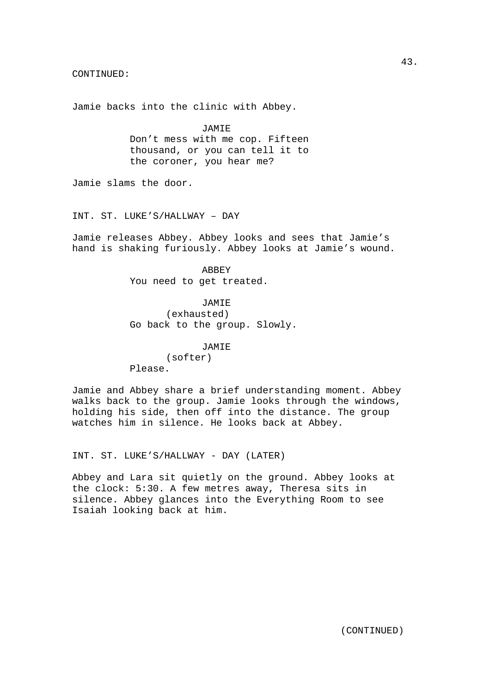Jamie backs into the clinic with Abbey.

 JAMIE Don't mess with me cop. Fifteen thousand, or you can tell it to the coroner, you hear me?

Jamie slams the door.

INT. ST. LUKE'S/HALLWAY – DAY

Jamie releases Abbey. Abbey looks and sees that Jamie's hand is shaking furiously. Abbey looks at Jamie's wound.

> ABBEY You need to get treated.

 JAMIE (exhausted) Go back to the group. Slowly.

#### JAMIE

 (softer) Please.

Jamie and Abbey share a brief understanding moment. Abbey walks back to the group. Jamie looks through the windows, holding his side, then off into the distance. The group watches him in silence. He looks back at Abbey.

INT. ST. LUKE'S/HALLWAY - DAY (LATER)

Abbey and Lara sit quietly on the ground. Abbey looks at the clock: 5:30. A few metres away, Theresa sits in silence. Abbey glances into the Everything Room to see Isaiah looking back at him.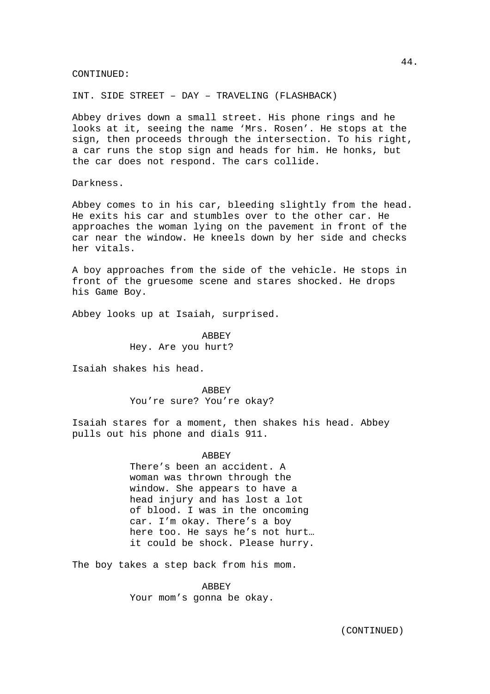INT. SIDE STREET – DAY – TRAVELING (FLASHBACK)

Abbey drives down a small street. His phone rings and he looks at it, seeing the name 'Mrs. Rosen'. He stops at the sign, then proceeds through the intersection. To his right, a car runs the stop sign and heads for him. He honks, but the car does not respond. The cars collide.

Darkness.

Abbey comes to in his car, bleeding slightly from the head. He exits his car and stumbles over to the other car. He approaches the woman lying on the pavement in front of the car near the window. He kneels down by her side and checks her vitals.

A boy approaches from the side of the vehicle. He stops in front of the gruesome scene and stares shocked. He drops his Game Boy.

Abbey looks up at Isaiah, surprised.

**ABBEY** Hey. Are you hurt?

Isaiah shakes his head.

 ABBEY You're sure? You're okay?

Isaiah stares for a moment, then shakes his head. Abbey pulls out his phone and dials 911.

> ABBEY There's been an accident. A woman was thrown through the window. She appears to have a head injury and has lost a lot of blood. I was in the oncoming car. I'm okay. There's a boy here too. He says he's not hurt… it could be shock. Please hurry.

The boy takes a step back from his mom.

 ABBEY Your mom's gonna be okay.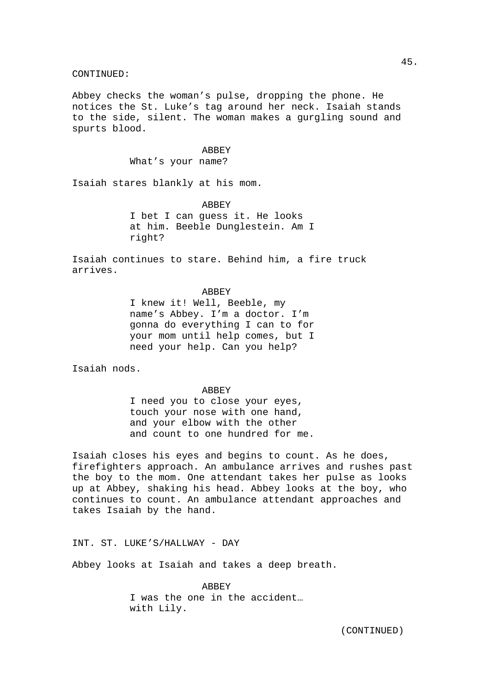Abbey checks the woman's pulse, dropping the phone. He notices the St. Luke's tag around her neck. Isaiah stands to the side, silent. The woman makes a gurgling sound and spurts blood.

> **ABBEY** What's your name?

Isaiah stares blankly at his mom.

**ABBEY** I bet I can guess it. He looks at him. Beeble Dunglestein. Am I right?

Isaiah continues to stare. Behind him, a fire truck arrives.

#### ABBEY

I knew it! Well, Beeble, my name's Abbey. I'm a doctor. I'm gonna do everything I can to for your mom until help comes, but I need your help. Can you help?

Isaiah nods.

#### ABBEY

I need you to close your eyes, touch your nose with one hand, and your elbow with the other and count to one hundred for me.

Isaiah closes his eyes and begins to count. As he does, firefighters approach. An ambulance arrives and rushes past the boy to the mom. One attendant takes her pulse as looks up at Abbey, shaking his head. Abbey looks at the boy, who continues to count. An ambulance attendant approaches and takes Isaiah by the hand.

INT. ST. LUKE'S/HALLWAY - DAY

Abbey looks at Isaiah and takes a deep breath.

 ABBEY I was the one in the accident… with Lily.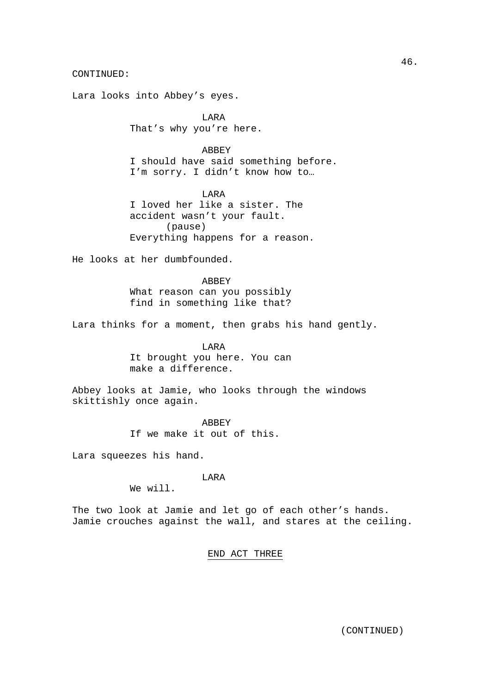Lara looks into Abbey's eyes.

 LARA That's why you're here.

## **ABBEY**

 I should have said something before. I'm sorry. I didn't know how to…

 LARA I loved her like a sister. The accident wasn't your fault. (pause) Everything happens for a reason.

He looks at her dumbfounded.

 ABBEY What reason can you possibly find in something like that?

Lara thinks for a moment, then grabs his hand gently.

 LARA It brought you here. You can make a difference.

Abbey looks at Jamie, who looks through the windows skittishly once again.

> **ABBEY** If we make it out of this.

Lara squeezes his hand.

LARA

We will.

The two look at Jamie and let go of each other's hands. Jamie crouches against the wall, and stares at the ceiling.

## END ACT THREE

46.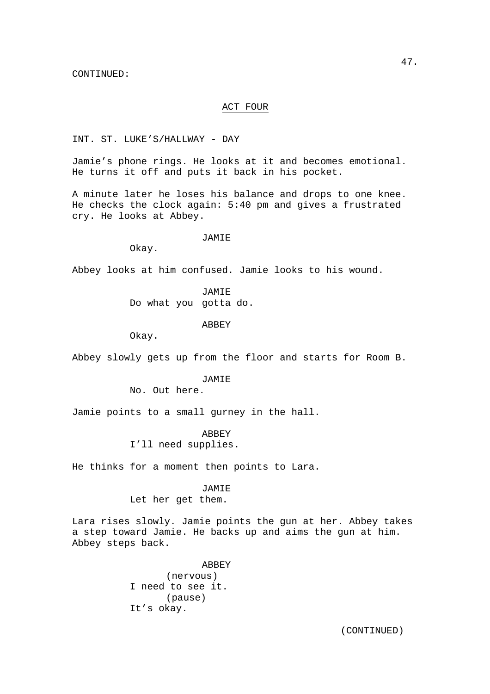## ACT FOUR

INT. ST. LUKE'S/HALLWAY - DAY

Jamie's phone rings. He looks at it and becomes emotional. He turns it off and puts it back in his pocket.

A minute later he loses his balance and drops to one knee. He checks the clock again: 5:40 pm and gives a frustrated cry. He looks at Abbey.

#### JAMIE

Okay.

Abbey looks at him confused. Jamie looks to his wound.

 JAMIE Do what you gotta do.

#### ABBEY

Okay.

Abbey slowly gets up from the floor and starts for Room B.

#### JAMIE

No. Out here.

Jamie points to a small gurney in the hall.

ABBEY

I'll need supplies.

He thinks for a moment then points to Lara.

#### JAMIE

Let her get them.

Lara rises slowly. Jamie points the gun at her. Abbey takes a step toward Jamie. He backs up and aims the gun at him. Abbey steps back.

> ABBEY (nervous) I need to see it. (pause) It's okay.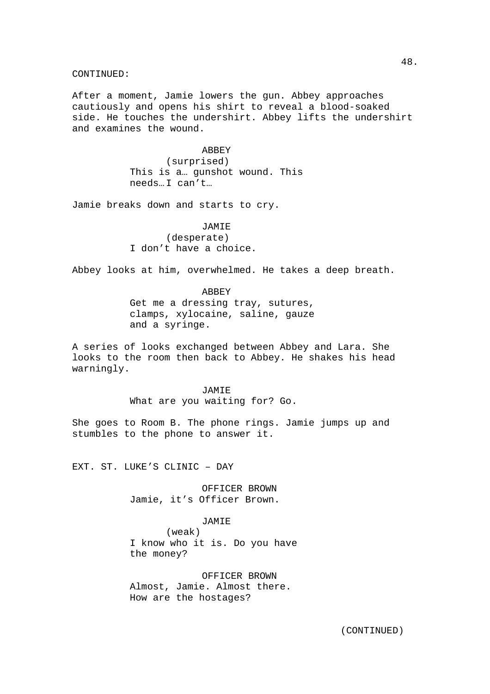After a moment, Jamie lowers the gun. Abbey approaches cautiously and opens his shirt to reveal a blood-soaked side. He touches the undershirt. Abbey lifts the undershirt and examines the wound.

> **ABBEY**  (surprised) This is a… gunshot wound. This needs… I can't…

Jamie breaks down and starts to cry.

## JAMIE

 (desperate) I don't have a choice.

Abbey looks at him, overwhelmed. He takes a deep breath.

#### ABBEY

Get me a dressing tray, sutures, clamps, xylocaine, saline, gauze and a syringe.

A series of looks exchanged between Abbey and Lara. She looks to the room then back to Abbey. He shakes his head warningly.

> JAMIE What are you waiting for? Go.

She goes to Room B. The phone rings. Jamie jumps up and stumbles to the phone to answer it.

EXT. ST. LUKE'S CLINIC – DAY

 OFFICER BROWN Jamie, it's Officer Brown.

## JAMIE

 (weak) I know who it is. Do you have the money?

 OFFICER BROWN Almost, Jamie. Almost there. How are the hostages?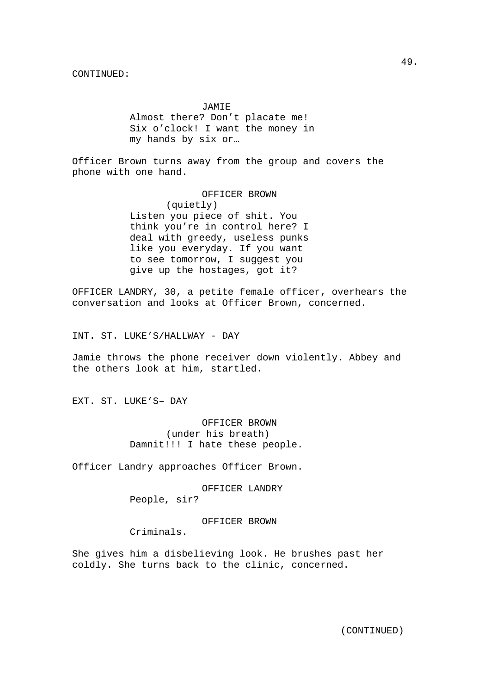JAMIE Almost there? Don't placate me! Six o'clock! I want the money in my hands by six or…

Officer Brown turns away from the group and covers the phone with one hand.

> OFFICER BROWN (quietly) Listen you piece of shit. You think you're in control here? I deal with greedy, useless punks like you everyday. If you want to see tomorrow, I suggest you give up the hostages, got it?

OFFICER LANDRY, 30, a petite female officer, overhears the conversation and looks at Officer Brown, concerned.

INT. ST. LUKE'S/HALLWAY - DAY

Jamie throws the phone receiver down violently. Abbey and the others look at him, startled.

EXT. ST. LUKE'S– DAY

 OFFICER BROWN (under his breath) Damnit!!! I hate these people.

Officer Landry approaches Officer Brown.

 OFFICER LANDRY People, sir?

OFFICER BROWN

Criminals.

She gives him a disbelieving look. He brushes past her coldly. She turns back to the clinic, concerned.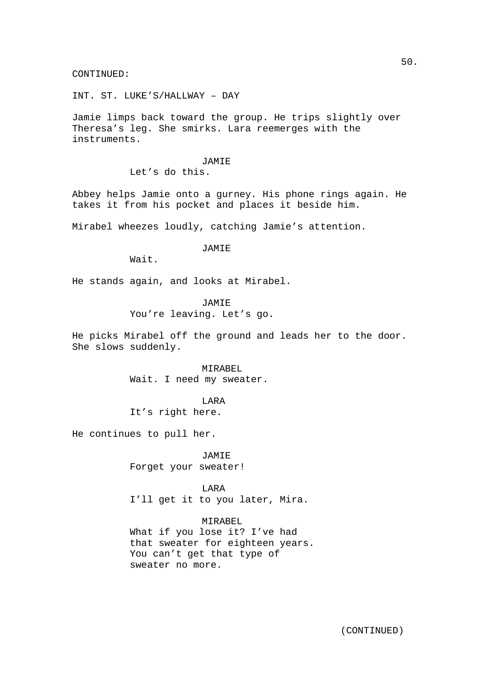INT. ST. LUKE'S/HALLWAY – DAY

Jamie limps back toward the group. He trips slightly over Theresa's leg. She smirks. Lara reemerges with the instruments.

## JAMIE

Let's do this.

Abbey helps Jamie onto a gurney. His phone rings again. He takes it from his pocket and places it beside him.

Mirabel wheezes loudly, catching Jamie's attention.

## JAMIE

Wait.

He stands again, and looks at Mirabel.

**JAMIE** You're leaving. Let's go.

He picks Mirabel off the ground and leads her to the door. She slows suddenly.

> MIRABEL Wait. I need my sweater.

> > LARA

It's right here.

He continues to pull her.

 JAMIE Forget your sweater!

**TARA** I'll get it to you later, Mira.

 MIRABEL What if you lose it? I've had that sweater for eighteen years. You can't get that type of sweater no more.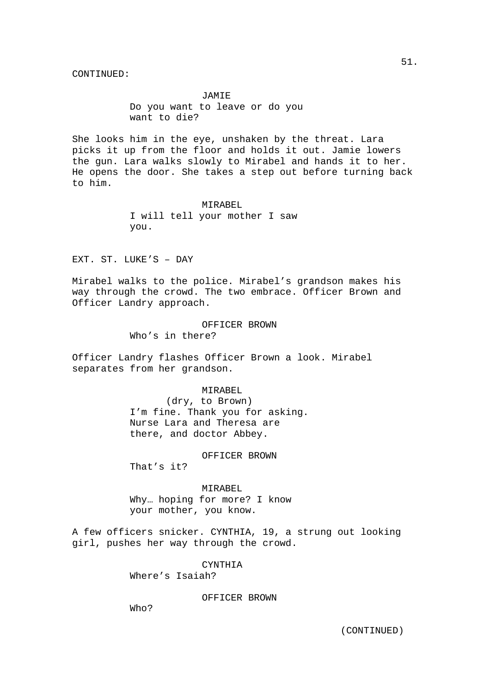JAMIE Do you want to leave or do you want to die?

She looks him in the eye, unshaken by the threat. Lara picks it up from the floor and holds it out. Jamie lowers the gun. Lara walks slowly to Mirabel and hands it to her. He opens the door. She takes a step out before turning back to him.

> MIRABEL I will tell your mother I saw you.

EXT. ST. LUKE'S – DAY

Mirabel walks to the police. Mirabel's grandson makes his way through the crowd. The two embrace. Officer Brown and Officer Landry approach.

> OFFICER BROWN Who's in there?

Officer Landry flashes Officer Brown a look. Mirabel separates from her grandson.

#### MIRABEL

 (dry, to Brown) I'm fine. Thank you for asking. Nurse Lara and Theresa are there, and doctor Abbey.

## OFFICER BROWN

That's it?

MIRABEL Why… hoping for more? I know your mother, you know.

A few officers snicker. CYNTHIA, 19, a strung out looking girl, pushes her way through the crowd.

**CYNTHIA** 

Where's Isaiah?

OFFICER BROWN

Who?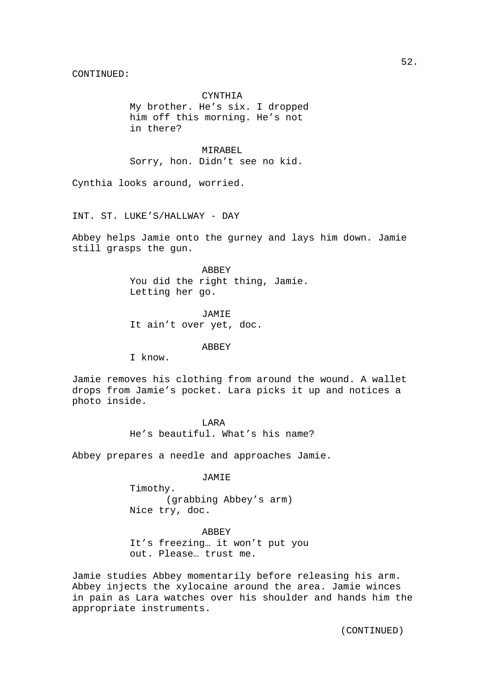## CYNTHIA

My brother. He's six. I dropped him off this morning. He's not in there?

MIRAREL. Sorry, hon. Didn't see no kid.

Cynthia looks around, worried.

INT. ST. LUKE'S/HALLWAY - DAY

Abbey helps Jamie onto the gurney and lays him down. Jamie still grasps the gun.

> ABBEY You did the right thing, Jamie. Letting her go.

 JAMIE It ain't over yet, doc.

ABBEY

I know.

Jamie removes his clothing from around the wound. A wallet drops from Jamie's pocket. Lara picks it up and notices a photo inside.

> **TARA** He's beautiful. What's his name?

Abbey prepares a needle and approaches Jamie.

JAMIE

 Timothy. (grabbing Abbey's arm) Nice try, doc.

ABBEY

It's freezing… it won't put you out. Please… trust me.

Jamie studies Abbey momentarily before releasing his arm. Abbey injects the xylocaine around the area. Jamie winces in pain as Lara watches over his shoulder and hands him the appropriate instruments.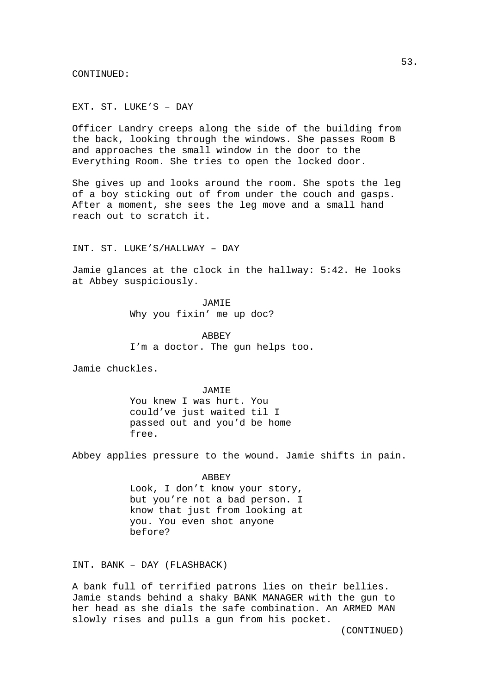EXT. ST. LUKE'S – DAY

Officer Landry creeps along the side of the building from the back, looking through the windows. She passes Room B and approaches the small window in the door to the Everything Room. She tries to open the locked door.

She gives up and looks around the room. She spots the leg of a boy sticking out of from under the couch and gasps. After a moment, she sees the leg move and a small hand reach out to scratch it.

INT. ST. LUKE'S/HALLWAY – DAY

Jamie glances at the clock in the hallway: 5:42. He looks at Abbey suspiciously.

> JAMIE Why you fixin' me up doc?

**ABBEY** I'm a doctor. The gun helps too.

Jamie chuckles.

 JAMIE You knew I was hurt. You could've just waited til I passed out and you'd be home free.

Abbey applies pressure to the wound. Jamie shifts in pain.

 ABBEY Look, I don't know your story, but you're not a bad person. I know that just from looking at you. You even shot anyone before?

INT. BANK – DAY (FLASHBACK)

A bank full of terrified patrons lies on their bellies. Jamie stands behind a shaky BANK MANAGER with the gun to her head as she dials the safe combination. An ARMED MAN slowly rises and pulls a gun from his pocket.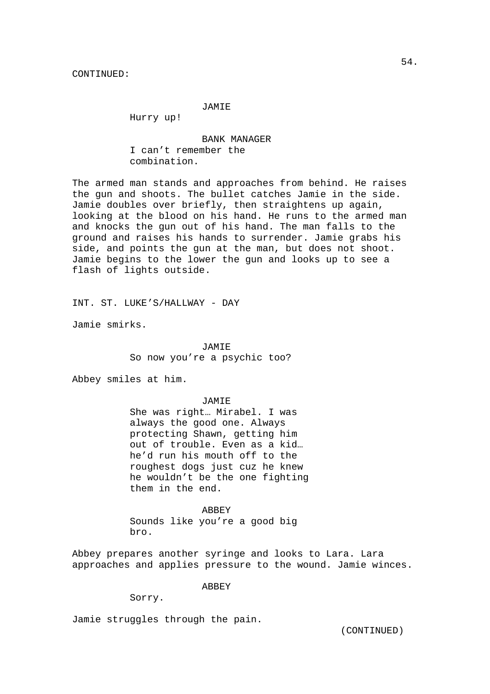## JAMIE

Hurry up!

 BANK MANAGER I can't remember the combination.

The armed man stands and approaches from behind. He raises the gun and shoots. The bullet catches Jamie in the side. Jamie doubles over briefly, then straightens up again, looking at the blood on his hand. He runs to the armed man and knocks the gun out of his hand. The man falls to the ground and raises his hands to surrender. Jamie grabs his side, and points the gun at the man, but does not shoot. Jamie begins to the lower the gun and looks up to see a flash of lights outside.

INT. ST. LUKE'S/HALLWAY - DAY

Jamie smirks.

 JAMIE So now you're a psychic too?

Abbey smiles at him.

#### JAMIE

She was right… Mirabel. I was always the good one. Always protecting Shawn, getting him out of trouble. Even as a kid… he'd run his mouth off to the roughest dogs just cuz he knew he wouldn't be the one fighting them in the end.

 ABBEY Sounds like you're a good big

bro.

Abbey prepares another syringe and looks to Lara. Lara approaches and applies pressure to the wound. Jamie winces.

ABBEY

Sorry.

Jamie struggles through the pain.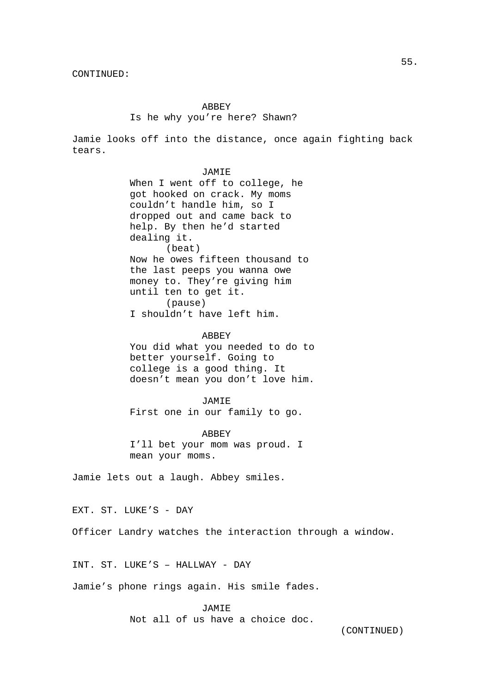## ABBEY Is he why you're here? Shawn?

Jamie looks off into the distance, once again fighting back tears.

## JAMIE When I went off to college, he

got hooked on crack. My moms couldn't handle him, so I dropped out and came back to help. By then he'd started dealing it. (beat) Now he owes fifteen thousand to the last peeps you wanna owe money to. They're giving him until ten to get it. (pause) I shouldn't have left him.

## **ABBEY**

You did what you needed to do to better yourself. Going to college is a good thing. It doesn't mean you don't love him.

## JAMIE

First one in our family to go.

#### ABBEY

I'll bet your mom was proud. I mean your moms.

Jamie lets out a laugh. Abbey smiles.

EXT. ST. LUKE'S - DAY

Officer Landry watches the interaction through a window.

INT. ST. LUKE'S – HALLWAY - DAY

Jamie's phone rings again. His smile fades.

 JAMIE Not all of us have a choice doc.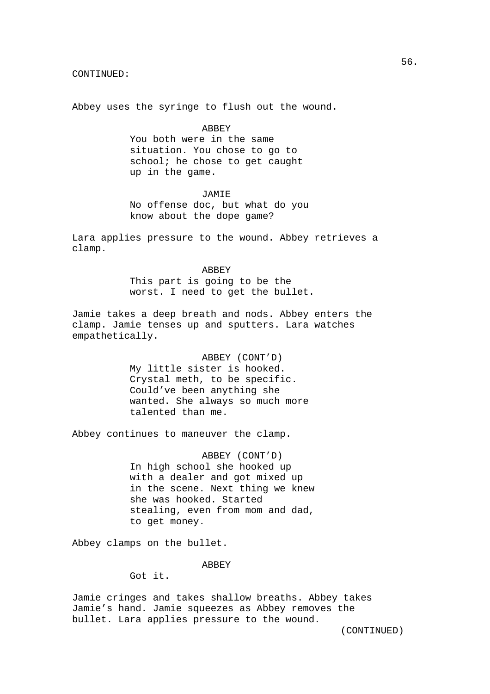Abbey uses the syringe to flush out the wound.

#### ABBEY

You both were in the same situation. You chose to go to school; he chose to get caught up in the game.

### JAMIE

No offense doc, but what do you know about the dope game?

Lara applies pressure to the wound. Abbey retrieves a clamp.

#### ABBEY

This part is going to be the worst. I need to get the bullet.

Jamie takes a deep breath and nods. Abbey enters the clamp. Jamie tenses up and sputters. Lara watches empathetically.

> ABBEY (CONT'D) My little sister is hooked. Crystal meth, to be specific. Could've been anything she wanted. She always so much more talented than me.

Abbey continues to maneuver the clamp.

 ABBEY (CONT'D) In high school she hooked up with a dealer and got mixed up in the scene. Next thing we knew she was hooked. Started stealing, even from mom and dad, to get money.

Abbey clamps on the bullet.

## **ABBEY**

Got it.

Jamie cringes and takes shallow breaths. Abbey takes Jamie's hand. Jamie squeezes as Abbey removes the bullet. Lara applies pressure to the wound.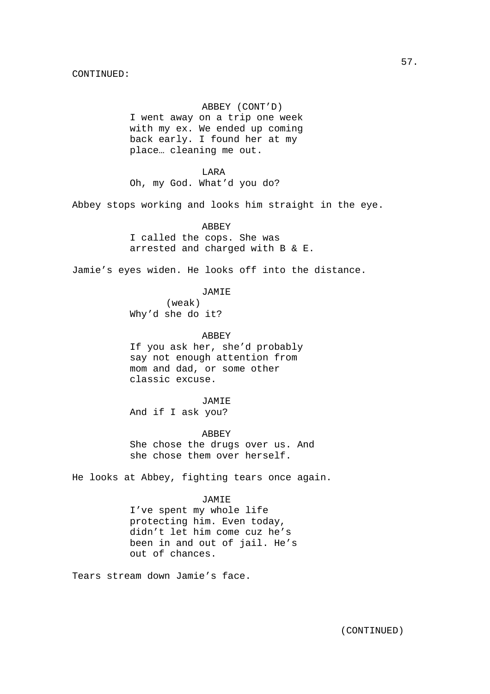## ABBEY (CONT'D)

I went away on a trip one week with my ex. We ended up coming back early. I found her at my place… cleaning me out.

 LARA Oh, my God. What'd you do?

Abbey stops working and looks him straight in the eye.

 ABBEY I called the cops. She was arrested and charged with B & E.

Jamie's eyes widen. He looks off into the distance.

JAMIE

 (weak) Why'd she do it?

**ABBEY** If you ask her, she'd probably say not enough attention from mom and dad, or some other classic excuse.

JAMIE

And if I ask you?

ABBEY

She chose the drugs over us. And she chose them over herself.

He looks at Abbey, fighting tears once again.

## JAMIE

I've spent my whole life protecting him. Even today, didn't let him come cuz he's been in and out of jail. He's out of chances.

Tears stream down Jamie's face.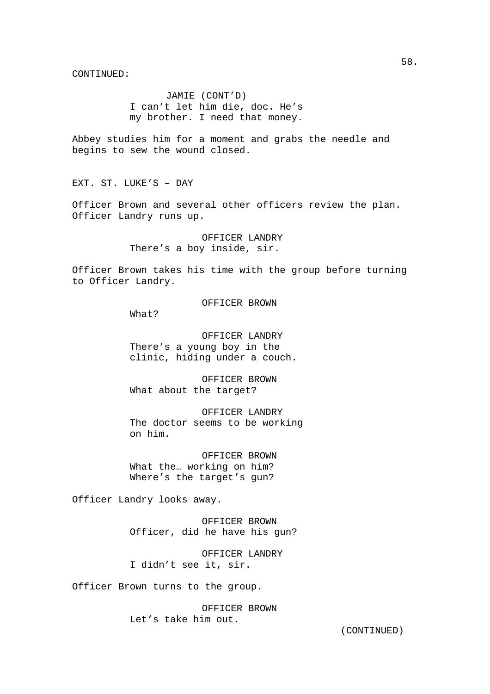JAMIE (CONT'D) I can't let him die, doc. He's my brother. I need that money.

Abbey studies him for a moment and grabs the needle and begins to sew the wound closed.

EXT. ST. LUKE'S – DAY

Officer Brown and several other officers review the plan. Officer Landry runs up.

> OFFICER LANDRY There's a boy inside, sir.

Officer Brown takes his time with the group before turning to Officer Landry.

## OFFICER BROWN

What?

 OFFICER LANDRY There's a young boy in the clinic, hiding under a couch.

 OFFICER BROWN What about the target?

 OFFICER LANDRY The doctor seems to be working on him.

 OFFICER BROWN What the… working on him? Where's the target's gun?

Officer Landry looks away.

 OFFICER BROWN Officer, did he have his gun?

 OFFICER LANDRY I didn't see it, sir.

Officer Brown turns to the group.

 OFFICER BROWN Let's take him out.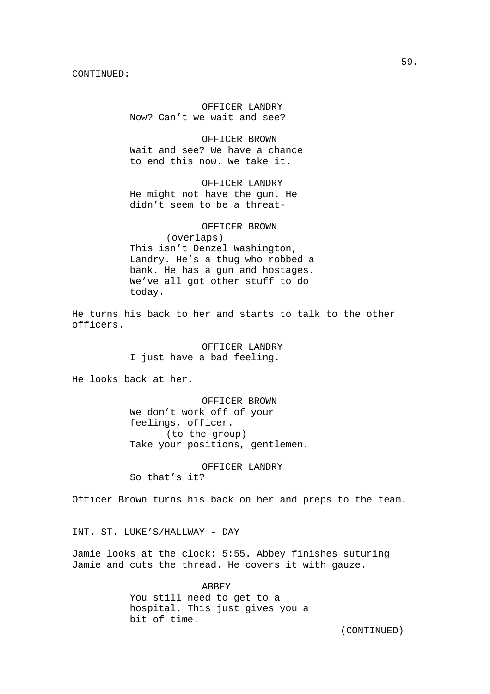OFFICER LANDRY Now? Can't we wait and see?

 OFFICER BROWN Wait and see? We have a chance to end this now. We take it.

 OFFICER LANDRY He might not have the gun. He didn't seem to be a threat-

 OFFICER BROWN (overlaps) This isn't Denzel Washington, Landry. He's a thug who robbed a bank. He has a gun and hostages. We've all got other stuff to do today.

He turns his back to her and starts to talk to the other officers.

> OFFICER LANDRY I just have a bad feeling.

He looks back at her.

 OFFICER BROWN We don't work off of your feelings, officer. (to the group) Take your positions, gentlemen.

 OFFICER LANDRY So that's it?

Officer Brown turns his back on her and preps to the team.

INT. ST. LUKE'S/HALLWAY - DAY

Jamie looks at the clock: 5:55. Abbey finishes suturing Jamie and cuts the thread. He covers it with gauze.

> ABBEY You still need to get to a hospital. This just gives you a bit of time.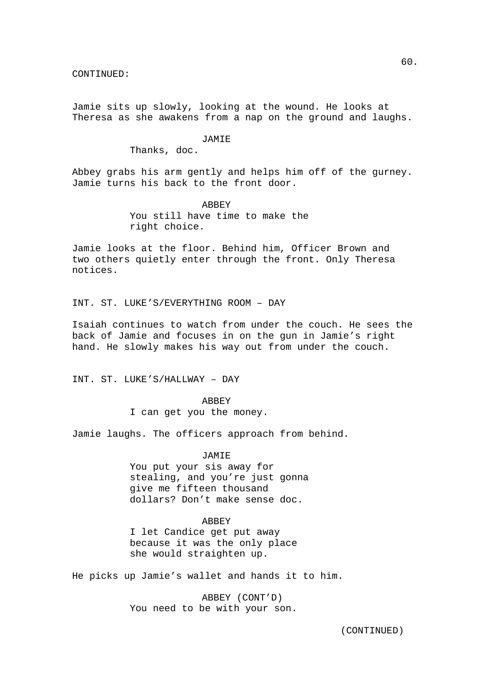Jamie sits up slowly, looking at the wound. He looks at Theresa as she awakens from a nap on the ground and laughs.

#### **JAMIE**

Thanks, doc.

Abbey grabs his arm gently and helps him off of the gurney. Jamie turns his back to the front door.

> ABBEY You still have time to make the right choice.

Jamie looks at the floor. Behind him, Officer Brown and two others quietly enter through the front. Only Theresa notices.

INT. ST. LUKE'S/EVERYTHING ROOM – DAY

Isaiah continues to watch from under the couch. He sees the back of Jamie and focuses in on the gun in Jamie's right hand. He slowly makes his way out from under the couch.

INT. ST. LUKE'S/HALLWAY – DAY

**ABBEY** I can get you the money.

Jamie laughs. The officers approach from behind.

JAMIE

You put your sis away for stealing, and you're just gonna give me fifteen thousand dollars? Don't make sense doc.

## ABBEY

I let Candice get put away because it was the only place she would straighten up.

He picks up Jamie's wallet and hands it to him.

 ABBEY (CONT'D) You need to be with your son.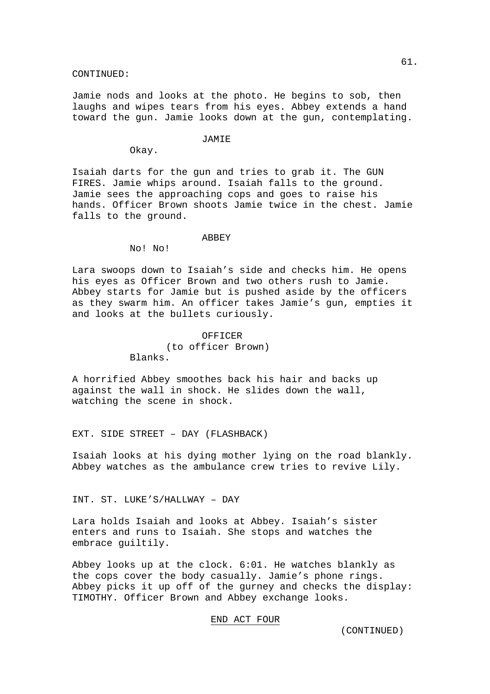Jamie nods and looks at the photo. He begins to sob, then laughs and wipes tears from his eyes. Abbey extends a hand toward the gun. Jamie looks down at the gun, contemplating.

### **JAMIE**

Okay.

Isaiah darts for the gun and tries to grab it. The GUN FIRES. Jamie whips around. Isaiah falls to the ground. Jamie sees the approaching cops and goes to raise his hands. Officer Brown shoots Jamie twice in the chest. Jamie falls to the ground.

#### ABBEY

No! No!

Lara swoops down to Isaiah's side and checks him. He opens his eyes as Officer Brown and two others rush to Jamie. Abbey starts for Jamie but is pushed aside by the officers as they swarm him. An officer takes Jamie's gun, empties it and looks at the bullets curiously.

## OFFICER (to officer Brown) Blanks.

A horrified Abbey smoothes back his hair and backs up against the wall in shock. He slides down the wall, watching the scene in shock.

EXT. SIDE STREET – DAY (FLASHBACK)

Isaiah looks at his dying mother lying on the road blankly. Abbey watches as the ambulance crew tries to revive Lily.

INT. ST. LUKE'S/HALLWAY – DAY

Lara holds Isaiah and looks at Abbey. Isaiah's sister enters and runs to Isaiah. She stops and watches the embrace guiltily.

Abbey looks up at the clock. 6:01. He watches blankly as the cops cover the body casually. Jamie's phone rings. Abbey picks it up off of the gurney and checks the display: TIMOTHY. Officer Brown and Abbey exchange looks.

## END ACT FOUR

61.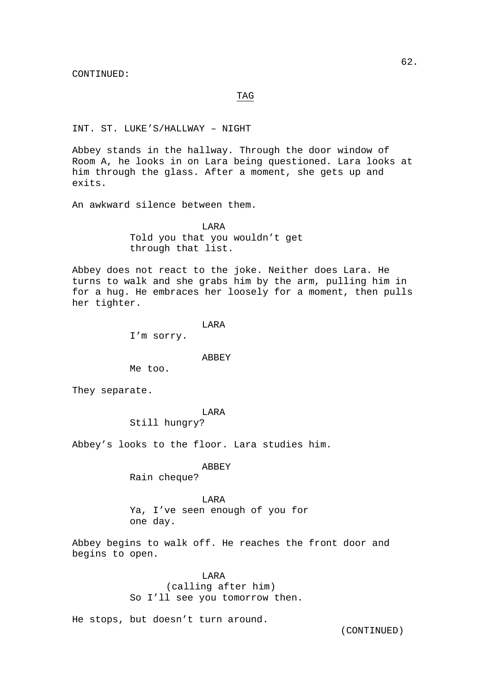### TAG

## INT. ST. LUKE'S/HALLWAY – NIGHT

Abbey stands in the hallway. Through the door window of Room A, he looks in on Lara being questioned. Lara looks at him through the glass. After a moment, she gets up and exits.

An awkward silence between them.

 LARA Told you that you wouldn't get through that list.

Abbey does not react to the joke. Neither does Lara. He turns to walk and she grabs him by the arm, pulling him in for a hug. He embraces her loosely for a moment, then pulls her tighter.

### LARA

I'm sorry.

#### ABBEY

Me too.

They separate.

## LARA

Still hungry?

Abbey's looks to the floor. Lara studies him.

## ABBEY

Rain cheque?

## LARA

Ya, I've seen enough of you for one day.

Abbey begins to walk off. He reaches the front door and begins to open.

### LARA

 (calling after him) So I'll see you tomorrow then.

He stops, but doesn't turn around.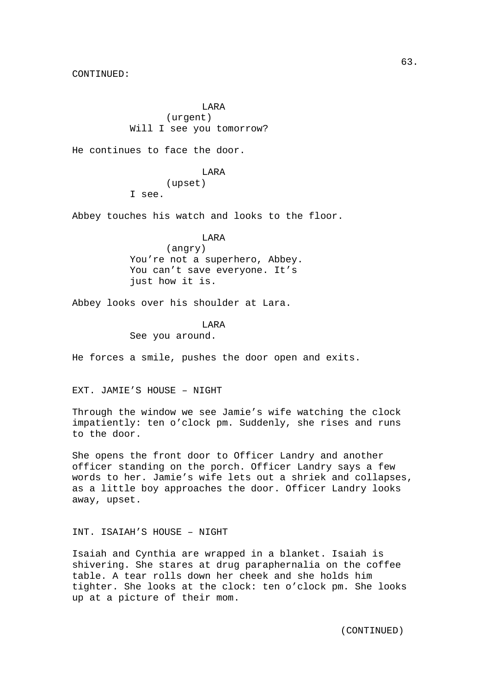LARA (urgent) Will I see you tomorrow?

He continues to face the door.

 LARA (upset) I see.

Abbey touches his watch and looks to the floor.

 LARA (angry) You're not a superhero, Abbey. You can't save everyone. It's just how it is.

Abbey looks over his shoulder at Lara.

LARA

See you around.

He forces a smile, pushes the door open and exits.

EXT. JAMIE'S HOUSE – NIGHT

Through the window we see Jamie's wife watching the clock impatiently: ten o'clock pm. Suddenly, she rises and runs to the door.

She opens the front door to Officer Landry and another officer standing on the porch. Officer Landry says a few words to her. Jamie's wife lets out a shriek and collapses, as a little boy approaches the door. Officer Landry looks away, upset.

## INT. ISAIAH'S HOUSE – NIGHT

Isaiah and Cynthia are wrapped in a blanket. Isaiah is shivering. She stares at drug paraphernalia on the coffee table. A tear rolls down her cheek and she holds him tighter. She looks at the clock: ten o'clock pm. She looks up at a picture of their mom.